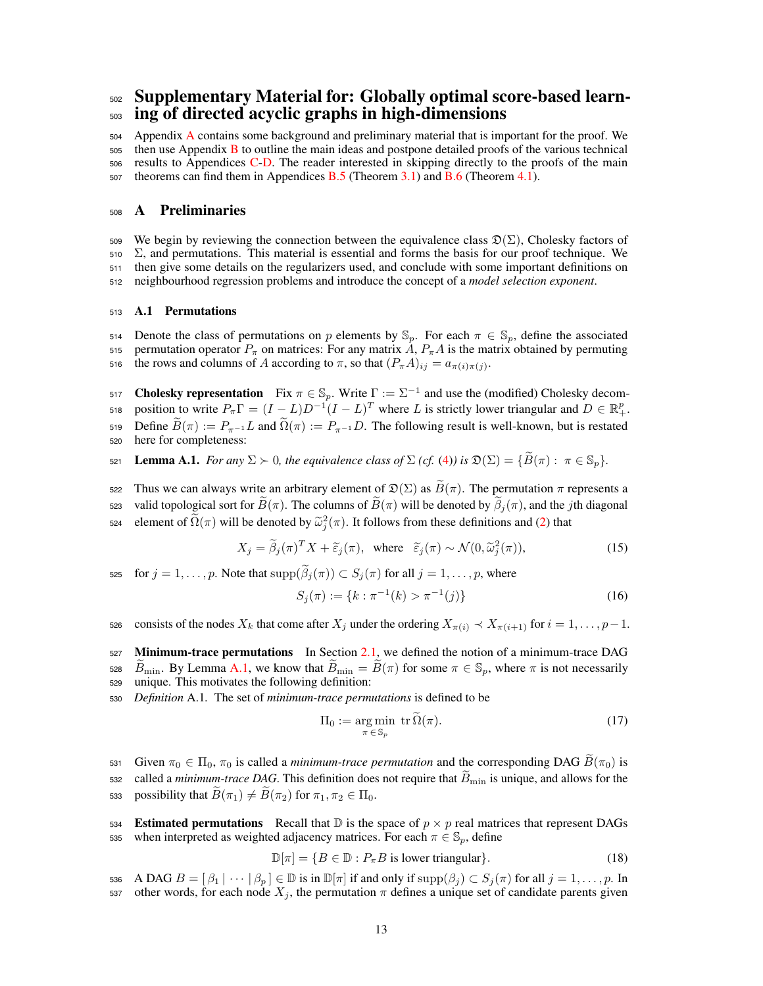# <sup>502</sup> Supplementary Material for: Globally optimal score-based learn- <sup>503</sup> ing of directed acyclic graphs in high-dimensions

504 Appendix A contains some background and preliminary material that is important for the proof. We then use Appendix B to outline the main ideas and postpone detailed proofs of the various technical results to Appendices C-D. The reader interested in skipping directly to the proofs of the main theorems can find them in Appendices B.5 (Theorem 3.1) and B.6 (Theorem 4.1).

# <sup>508</sup> A Preliminaries

509 We begin by reviewing the connection between the equivalence class  $\mathfrak{D}(\Sigma)$ , Cholesky factors of  $510\quad$   $\Sigma$ , and permutations. This material is essential and forms the basis for our proof technique. We <sup>511</sup> then give some details on the regularizers used, and conclude with some important definitions on <sup>512</sup> neighbourhood regression problems and introduce the concept of a *model selection exponent*.

# <sup>513</sup> A.1 Permutations

514 Denote the class of permutations on *p* elements by  $\mathbb{S}_p$ . For each  $\pi \in \mathbb{S}_p$ , define the associated 515 permutation operator  $P_{\pi}$  on matrices: For any matrix  $A$ ,  $P_{\pi}A$  is the matrix obtained by permuting the rows and columns of *A* according to  $\pi$ , so that  $(P_{\pi}A)_{ij} = a_{\pi(i)\pi(j)}$ .

517 **Cholesky representation** Fix  $\pi \in \mathbb{S}_p$ . Write  $\Gamma := \Sigma^{-1}$  and use the (modified) Cholesky decomposition to write  $P_{\pi} \Gamma = (I - L)D^{-1}(I - L)^T$  where *L* is strictly lower triangular and  $D \in \mathbb{R}^p_+$ . 519 Define  $\widetilde{B}(\pi) := P_{\pi^{-1}} L$  and  $\widetilde{\Omega}(\pi) := P_{\pi^{-1}} D$ . The following result is well-known, but is restated here for completeness: here for completeness:

521 **Lemma A.1.** *For any*  $\Sigma \succ 0$ *, the equivalence class of*  $\Sigma$  *(cf.* (4)*) is*  $\mathfrak{D}(\Sigma) = {\widetilde{B}(\pi) : \pi \in \mathbb{S}_n}$ *.* 

522 Thus we can always write an arbitrary element of  $\mathfrak{D}(\Sigma)$  as  $\widetilde{B}(\pi)$ . The permutation  $\pi$  represents a 523 valid topological sort for  $\tilde{B}(\pi)$ . The columns of  $\tilde{B}(\pi)$  will be denoted by  $\beta_j(\pi)$ , and the *j*th diagonal Equal that the element of  $\tilde{\Omega}(\pi)$  will be denoted by  $\tilde{\omega}_j^2(\pi)$ . It follows from these definitions and (2) that

$$
X_j = \widetilde{\beta}_j(\pi)^T X + \widetilde{\varepsilon}_j(\pi), \text{ where } \widetilde{\varepsilon}_j(\pi) \sim \mathcal{N}(0, \widetilde{\omega}_j^2(\pi)), \tag{15}
$$

for  $j = 1, \ldots, p$ . Note that  $\text{supp}(\widetilde{\beta}_j(\pi)) \subset S_j(\pi)$  for all  $j = 1, \ldots, p$ , where

$$
S_j(\pi) := \{ k : \pi^{-1}(k) > \pi^{-1}(j) \}
$$
\n(16)

consists of the nodes  $X_k$  that come after  $X_j$  under the ordering  $X_{\pi(i)} \prec X_{\pi(i+1)}$  for  $i = 1, \ldots, p-1$ .

 $527$  Minimum-trace permutations In Section 2.1, we defined the notion of a minimum-trace DAG <sup>528</sup>  $\overline{B}_{\text{min}}$ . By Lemma A.1, we know that  $\overline{B}_{\text{min}} = \overline{B}(\pi)$  for some  $\pi \in \mathbb{S}_p$ , where  $\pi$  is not necessarily unique. This motivates the following definition: unique. This motivates the following definition:

<sup>530</sup> *Definition* A.1*.* The set of *minimum-trace permutations* is defined to be

$$
\Pi_0 := \underset{\pi \in \mathbb{S}_p}{\arg \min} \text{ tr } \widetilde{\Omega}(\pi). \tag{17}
$$

531 Given  $\pi_0 \in \Pi_0$ ,  $\pi_0$  is called a *minimum-trace permutation* and the corresponding DAG  $\hat{B}(\pi_0)$  is  $\epsilon$  called a *minimum-trace DAG*. This definition does not require that  $\tilde{B}_{\text{min}}$  is unique, and allows for the 533 possibility that  $\widetilde{B}(\pi_1) \neq \widetilde{B}(\pi_2)$  for  $\pi_1, \pi_2 \in \Pi_0$ .

534 **Estimated permutations** Recall that  $\mathbb{D}$  is the space of  $p \times p$  real matrices that represent DAGs when interpreted as weighted adjacency matrices. For each  $\pi \in \mathbb{S}_n$ , define when interpreted as weighted adjacency matrices. For each  $\pi \in \mathbb{S}_p$ , define

$$
\mathbb{D}[\pi] = \{ B \in \mathbb{D} : P_{\pi} B \text{ is lower triangular} \}. \tag{18}
$$

536 A DAG  $B = [\beta_1 | \cdots | \beta_p] \in \mathbb{D}$  is in  $\mathbb{D}[\pi]$  if and only if  $\text{supp}(\beta_j) \subset S_j(\pi)$  for all  $j = 1, \ldots, p$ . In starting the starting sect of *s* and *j* = 1,..., *p*. In other words, for each node  $X_j$ , the permutation  $\pi$  defines a unique set of candidate parents given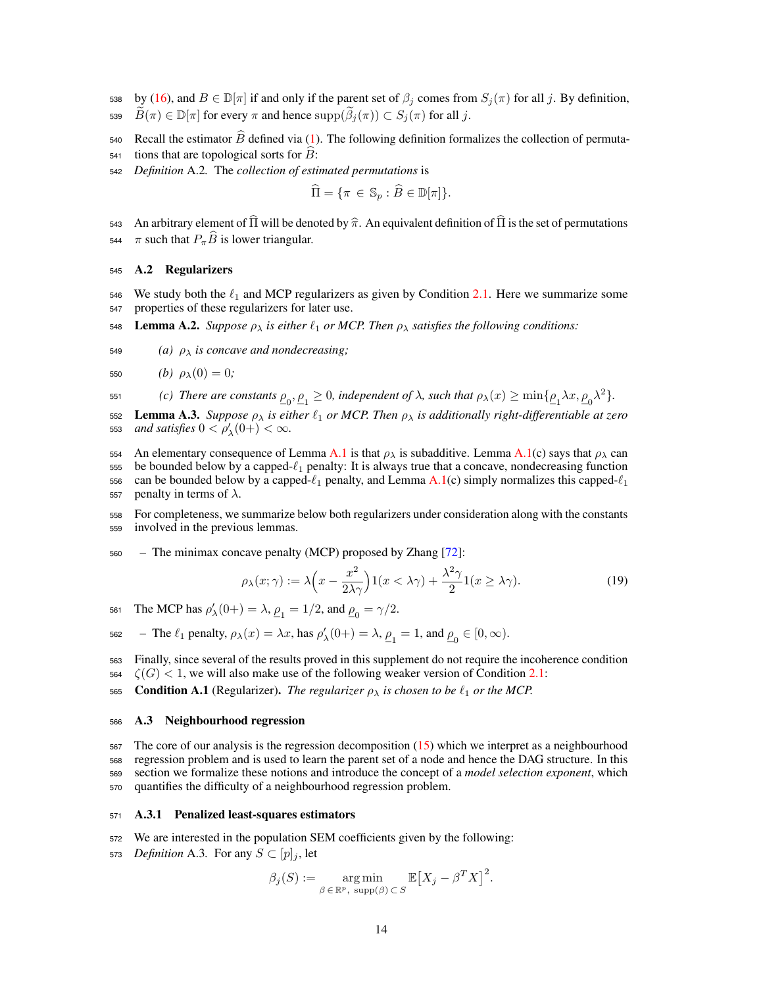- 538 by (16), and  $B \in \mathbb{D}[\pi]$  if and only if the parent set of  $\beta_j$  comes from  $S_j(\pi)$  for all j. By definition, 539  $\widetilde{B}(\pi) \in \mathbb{D}[\pi]$  for every  $\pi$  and hence  $\text{supp}(\widetilde{\beta}_j(\pi)) \subset S_j(\pi)$  for all *j*.
- 540 Recall the estimator  $\widehat{B}$  defined via (1). The following definition formalizes the collection of permuta-
- $541$  tions that are topological sorts for  $B$ :
- <sup>542</sup> *Definition* A.2*.* The *collection of estimated permutations* is

$$
\Pi = \{ \pi \in \mathbb{S}_p : B \in \mathbb{D}[\pi] \}.
$$

543 An arbitrary element of  $\hat{\Pi}$  will be denoted by  $\hat{\pi}$ . An equivalent definition of  $\hat{\Pi}$  is the set of permutations  $\pi$  such that  $P_{\pi}\hat{B}$  is lower triangular.  $\pi$  such that  $P_{\pi}\widehat{B}$  is lower triangular.

# <sup>545</sup> A.2 Regularizers

- 546 We study both the  $\ell_1$  and MCP regularizers as given by Condition 2.1. Here we summarize some <sup>547</sup> properties of these regularizers for later use.
- 548 **Lemma A.2.** *Suppose*  $\rho_{\lambda}$  *is either*  $\ell_1$  *or MCP. Then*  $\rho_{\lambda}$  *satisfies the following conditions:*
- 549 *(a)*  $\rho_{\lambda}$  *is concave and nondecreasing*;

550 *(b)* 
$$
\rho_{\lambda}(0) = 0;
$$

*(c) There are constants*  $\underline{\rho}_0, \underline{\rho}_1 \geq 0$ , independent of  $\lambda$ , such that  $\rho_{\lambda}(x) \geq \min{\{\rho_1, \lambda x, \rho_0 \lambda^2\}}$ .

552 **Lemma A.3.** *Suppose*  $\rho_{\lambda}$  *is either*  $\ell_1$  *or MCP. Then*  $\rho_{\lambda}$  *is additionally right-differentiable at zero* 553 *and satisfies*  $0 < \rho'_{\lambda}(0+) < \infty$ .

554 An elementary consequence of Lemma A.1 is that  $\rho_{\lambda}$  is subadditive. Lemma A.1(c) says that  $\rho_{\lambda}$  can 555 be bounded below by a capped- $\ell_1$  penalty: It is always true that a concave, nondecreasing function 556 can be bounded below by a capped- $\ell_1$  penalty, and Lemma A.1(c) simply normalizes this capped- $\ell_1$ 557 penalty in terms of  $\lambda$ .

<sup>558</sup> For completeness, we summarize below both regularizers under consideration along with the constants <sup>559</sup> involved in the previous lemmas.

<sup>560</sup> – The minimax concave penalty (MCP) proposed by Zhang [72]:

$$
\rho_{\lambda}(x;\gamma) := \lambda \left( x - \frac{x^2}{2\lambda \gamma} \right) 1(x < \lambda \gamma) + \frac{\lambda^2 \gamma}{2} 1(x \ge \lambda \gamma). \tag{19}
$$

561 The MCP has  $\rho'_{\lambda}(0+) = \lambda$ ,  $\rho_1 = 1/2$ , and  $\rho_0 = \gamma/2$ .

$$
\text{562 } - \text{ The } \ell_1 \text{ penalty, } \rho_\lambda(x) = \lambda x \text{, has } \rho'_\lambda(0+) = \lambda \text{, } \underline{\rho}_1 = 1 \text{, and } \underline{\rho}_0 \in [0, \infty).
$$

- <sup>563</sup> Finally, since several of the results proved in this supplement do not require the incoherence condition  $564 \quad \zeta(G) < 1$ , we will also make use of the following weaker version of Condition 2.1:
- 565 **Condition A.1** (Regularizer). *The regularizer*  $\rho_{\lambda}$  *is chosen to be*  $\ell_1$  *or the MCP.*

### <sup>566</sup> A.3 Neighbourhood regression

 The core of our analysis is the regression decomposition (15) which we interpret as a neighbourhood regression problem and is used to learn the parent set of a node and hence the DAG structure. In this section we formalize these notions and introduce the concept of a *model selection exponent*, which quantifies the difficulty of a neighbourhood regression problem.

## <sup>571</sup> A.3.1 Penalized least-squares estimators

- <sup>572</sup> We are interested in the population SEM coefficients given by the following:
- 573 *Definition* A.3. For any  $S \subset [p]_j$ , let

$$
\beta_j(S) := \underset{\beta \in \mathbb{R}^p, \text{ supp}(\beta) \subset S}{\arg \min} \mathbb{E}\big[X_j - \beta^T X\big]^2.
$$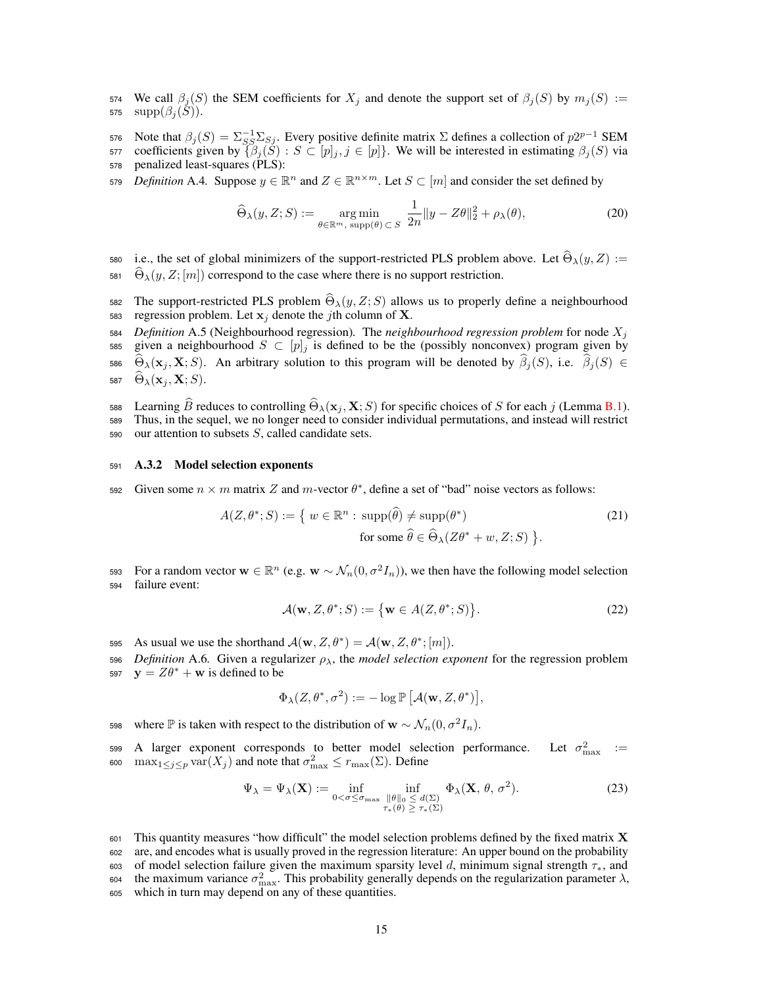574 We call  $\beta_i(S)$  the SEM coefficients for  $X_i$  and denote the support set of  $\beta_i(S)$  by  $m_i(S) :=$ 575  $supp(\beta_i(S)).$ 

576 Note that  $\beta_j(S) = \sum_{S} \sum_{S} \sum_{S}$ . Every positive definite matrix  $\Sigma$  defines a collection of  $p2^{p-1}$  SEM 577 coefficients given by  $\{\beta_j(\check{S}) : S \subset [p]_j, j \in [p]\}$ . We will be interested in estimating  $\beta_j(S)$  via penalized least-squares (PLS): penalized least-squares (PLS):

*579 Definition* A.4. Suppose  $y \in \mathbb{R}^n$  and  $Z \in \mathbb{R}^{n \times m}$ . Let  $S \subset [m]$  and consider the set defined by

$$
\widehat{\Theta}_{\lambda}(y, Z; S) := \underset{\theta \in \mathbb{R}^m, \text{ supp}(\theta) \subset S}{\text{arg min}} \frac{1}{2n} \|y - Z\theta\|_2^2 + \rho_{\lambda}(\theta),\tag{20}
$$

580 i.e., the set of global minimizers of the support-restricted PLS problem above. Let  $\widehat{\Theta}_{\lambda}(y, Z) :=$  $\widehat{\Theta}_{\lambda}(y, Z; [m])$  correspond to the case where there is no support restriction.

The support-restricted PLS problem  $\hat{\Theta}_{\lambda}(y, Z; S)$  allows us to properly define a neighbourhood regression problem. Let  $\mathbf{x}_i$  denote the *i*th column of **X**. regression problem. Let  $x_j$  denote the *j*th column of X.

 *Definition* A.5 (Neighbourhood regression)*.* The *neighbourhood regression problem* for node *X<sup>j</sup>* 585 given a neighbourhood  $S \subset [p]_j$  is defined to be the (possibly nonconvex) program given by  $\widehat{\Theta}_{\lambda}(\mathbf{x}_j, \mathbf{X}; S)$ . An arbitrary solution to this program will be denoted by  $\widehat{\beta}_j(S)$ , i.e.  $\widehat{\beta}_j(S) \in$  $\Theta_{\lambda}(\mathbf{x}_i, \mathbf{X}; S)$ .

Learning  $\widehat{B}$  reduces to controlling  $\widehat{\Theta}_{\lambda}(\mathbf{x}_j, \mathbf{X}; S)$  for specific choices of *S* for each *j* (Lemma B.1).<br>
Thus, in the sequel, we no longer need to consider individual permutations, and instead will restr

Thus, in the sequel, we no longer need to consider individual permutations, and instead will restrict <sup>590</sup> our attention to subsets *S*, called candidate sets.

## <sup>591</sup> A.3.2 Model selection exponents

Given some  $n \times m$  matrix *Z* and *m*-vector  $\theta^*$ , define a set of "bad" noise vectors as follows:

$$
A(Z, \theta^*; S) := \{ w \in \mathbb{R}^n : \operatorname{supp}(\widehat{\theta}) \neq \operatorname{supp}(\theta^*)
$$
  
for some  $\widehat{\theta} \in \widehat{\Theta}_{\lambda}(Z\theta^* + w, Z; S) \}.$  (21)

For a random vector  $\mathbf{w} \in \mathbb{R}^n$  (e.g.  $\mathbf{w} \sim \mathcal{N}_n(0, \sigma^2 I_n)$ ), we then have the following model selection failure event: failure event:

$$
\mathcal{A}(\mathbf{w}, Z, \theta^*; S) := \{ \mathbf{w} \in A(Z, \theta^*; S) \}.
$$
 (22)

595 As usual we use the shorthand  $\mathcal{A}(\mathbf{w}, Z, \theta^*) = \mathcal{A}(\mathbf{w}, Z, \theta^*; [m])$ .

596 *Definition* A.6. Given a regularizer  $\rho_{\lambda}$ , the *model selection exponent* for the regression problem 597  $y = Z\theta^* + w$  is defined to be

$$
\Phi_{\lambda}(Z,\theta^*,\sigma^2):=-\log \mathbb{P}\left[\mathcal{A}(\mathbf{w},Z,\theta^*)\right],
$$

where  $\mathbb P$  is taken with respect to the distribution of  $\mathbf w \sim \mathcal N_n(0,\sigma^2 I_n)$ .

599 A larger exponent corresponds to better model selection performance. Let  $\sigma_{\text{max}}^2$  := 600 max<sub>1</sub> $\leq j \leq p$  var $(X_j)$  and note that  $\sigma_{\max}^2 \leq r_{\max}(\Sigma)$ . Define

$$
\Psi_{\lambda} = \Psi_{\lambda}(\mathbf{X}) := \inf_{0 < \sigma \le \sigma_{\text{max}}} \inf_{\substack{\|\theta\|_{0} \le d(\Sigma) \\ \tau_{*}(\theta) \ge \tau_{*}(\Sigma)}} \Phi_{\lambda}(\mathbf{X}, \theta, \sigma^{2}). \tag{23}
$$

 $601$  This quantity measures "how difficult" the model selection problems defined by the fixed matrix **X** <sup>602</sup> are, and encodes what is usually proved in the regression literature: An upper bound on the probability 603 of model selection failure given the maximum sparsity level *d*, minimum signal strength  $\tau_*$ , and the maximum variance  $\sigma_{\text{max}}^2$ . This probability generally depends on the regularization parameter  $\lambda$ . 604 the maximum variance  $\sigma_{\text{max}}^2$ . This probability generally depends on the regularization parameter  $\lambda$ , <sup>605</sup> which in turn may depend on any of these quantities.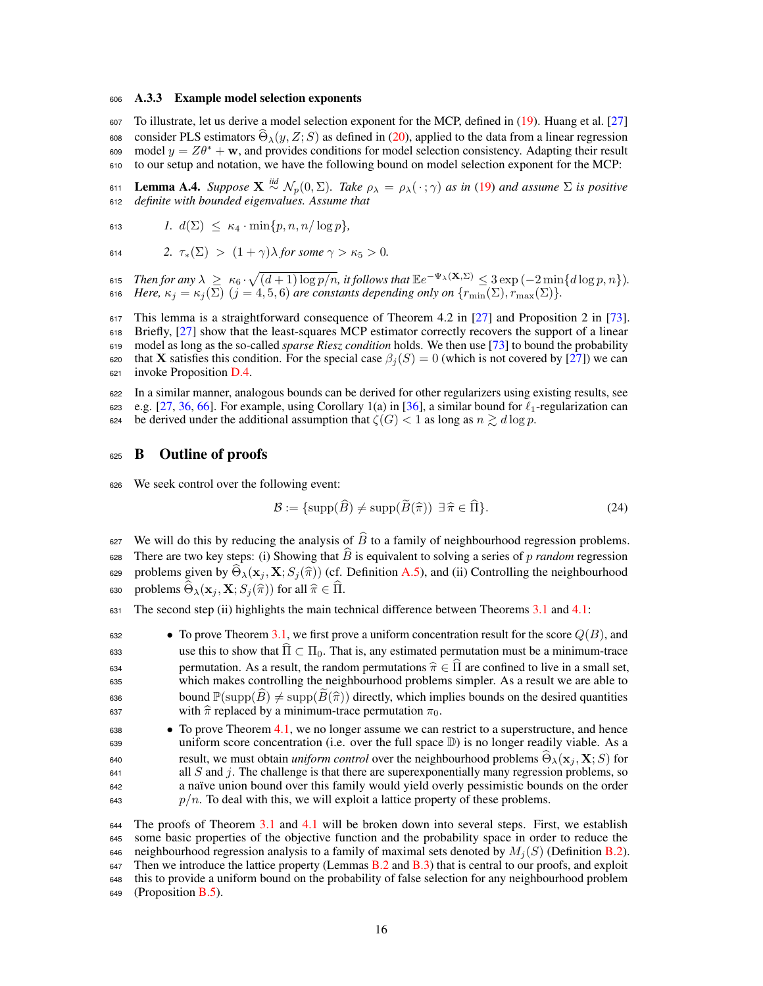#### <sup>606</sup> A.3.3 Example model selection exponents

<sup>607</sup> To illustrate, let us derive a model selection exponent for the MCP, defined in (19). Huang et al. [27] consider PLS estimators  $\hat{\Theta}_{\lambda}(y, Z; S)$  as defined in (20), applied to the data from a linear regression model  $y = Z\theta^* + \mathbf{w}$ , and provides conditions for model selection consistency. Adapting their result model  $y = Z\theta^* + \mathbf{w}$ , and provides conditions for model selection consistency. Adapting their result <sup>610</sup> to our setup and notation, we have the following bound on model selection exponent for the MCP:

**EXEMPER 611 Lemma A.4.** *Suppose*  $\mathbf{X} \stackrel{iid}{\sim} \mathcal{N}_p(0, \Sigma)$ *. Take*  $\rho_\lambda = \rho_\lambda(\cdot; \gamma)$  *as in* (19) *and assume*  $\Sigma$  *is positive definite with bounded eigenvalues. Assume that* <sup>612</sup> *definite with bounded eigenvalues. Assume that*

613 
$$
l. d(\Sigma) \leq \kappa_4 \cdot \min\{p, n, n/\log p\},\
$$

614 
$$
2. \ \tau_*(\Sigma) > (1+\gamma)\lambda \text{ for some } \gamma > \kappa_5 > 0.
$$

615 *Then for any*  $\lambda \ge \kappa_6 \cdot \sqrt{(d+1) \log p/n}$ , it follows that  $\mathbb{E}e^{-\Psi_{\lambda}(\mathbf{X}, \Sigma)} \leq 3 \exp(-2 \min\{d \log p, n\})$ . 616 *Here,*  $\kappa_j = \kappa_j(\Sigma)$   $(j = 4, 5, 6)$  are constants depending only on  $\{r_{\min}(\Sigma), r_{\max}(\Sigma)\}$ .

 This lemma is a straightforward consequence of Theorem 4.2 in [27] and Proposition 2 in [73]. Briefly, [27] show that the least-squares MCP estimator correctly recovers the support of a linear model as long as the so-called *sparse Riesz condition* holds. We then use [73] to bound the probability 620 that **X** satisfies this condition. For the special case  $\beta_i(S) = 0$  (which is not covered by [27]) we can invoke Proposition D.4.

<sup>622</sup> In a similar manner, analogous bounds can be derived for other regularizers using existing results, see 623 e.g. [27, 36, 66]. For example, using Corollary 1(a) in [36], a similar bound for  $\ell_1$ -regularization can 624 be derived under the additional assumption that  $\zeta(G) < 1$  as long as  $n \gtrsim d \log p$ .

# 625 **B** Outline of proofs

<sup>626</sup> We seek control over the following event:

$$
\mathcal{B} := \{ \text{supp}(\widehat{B}) \neq \text{supp}(\widetilde{B}(\widehat{\pi})) \exists \widehat{\pi} \in \widehat{\Pi} \}. \tag{24}
$$

627 We will do this by reducing the analysis of  $\widehat{B}$  to a family of neighbourhood regression problems. 628 There are two key steps: (i) Showing that  $\hat{B}$  is equivalent to solving a series of *p random* regression problems given by  $\Theta_{\lambda}(\mathbf{x}_j, \mathbf{X}; S_j(\hat{\pi}))$  (cf. Definition A.5), and (ii) Controlling the neighbourhood<br>sso problems  $\widehat{\Theta}_{\lambda}(\mathbf{x}_j, \mathbf{X}; S_j(\hat{\pi}))$  for all  $\hat{\pi} \in \widehat{\Pi}$ problems  $\widehat{\Theta}_{\lambda}(\mathbf{x}_i, \mathbf{X}; S_i(\widehat{\pi}))$  for all  $\widehat{\pi} \in \widehat{\Pi}$ .

631 The second step (ii) highlights the main technical difference between Theorems 3.1 and 4.1:

<sup>632</sup> *•* To prove Theorem 3.1, we first prove a uniform concentration result for the score *Q*(*B*), and 633 use this to show that  $\hat{\Pi} \subset \Pi_0$ . That is, any estimated permutation must be a minimum-trace 634 permutation. As a result, the random permutations  $\hat{\pi} \in \Pi$  are confined to live in a small set, which makes controlling the neighbourhood problems simpler. As a result we are able to which makes controlling the neighbourhood problems simpler. As a result we are able to 636 bound  $\mathbb{P}(\text{supp}(\hat{B}) \neq \text{supp}(\hat{B}(\hat{\pi}))$  directly, which implies bounds on the desired quantities with  $\hat{\pi}$  replaced by a minimum-trace permutation  $\pi_0$ with  $\hat{\pi}$  replaced by a minimum-trace permutation  $\pi_0$ .

<sup>638</sup> • To prove Theorem 4.1, we no longer assume we can restrict to a superstructure, and hence<br><sup>639</sup> uniform score concentration (i.e. over the full space D) is no longer readily viable. As a uniform score concentration (i.e. over the full space  $D$ ) is no longer readily viable. As a result, we must obtain *uniform control* over the neighbourhood problems  $\Theta_{\lambda}(\mathbf{x}_j, \mathbf{X}; S)$  for all *S* and *i*. The challenge is that there are superexponentially many regression problems, so all  $S$  and  $j$ . The challenge is that there are superexponentially many regression problems, so <sup>642</sup> a naïve union bound over this family would yield overly pessimistic bounds on the order  $p/n$ . To deal with this, we will exploit a lattice property of these problems.

 The proofs of Theorem 3.1 and 4.1 will be broken down into several steps. First, we establish some basic properties of the objective function and the probability space in order to reduce the 646 neighbourhood regression analysis to a family of maximal sets denoted by  $M_i(S)$  (Definition B.2). 647 Then we introduce the lattice property (Lemmas B.2 and B.3) that is central to our proofs, and exploit this to provide a uniform bound on the probability of false selection for any neighbourhood problem (Proposition B.5).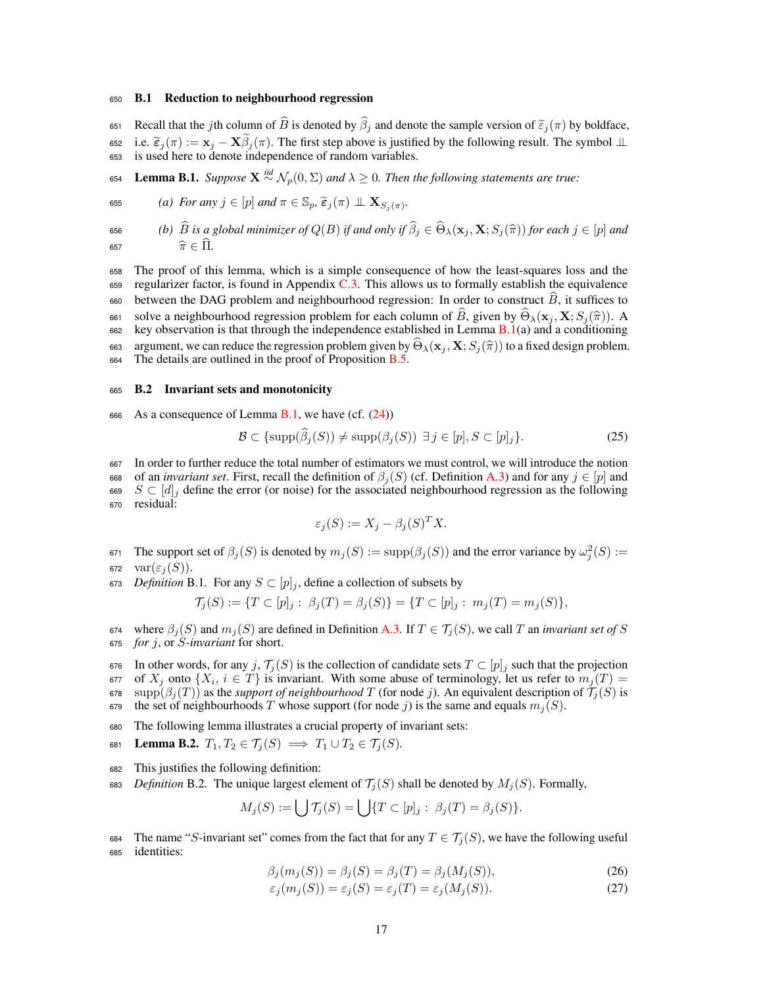#### <sup>650</sup> B.1 Reduction to neighbourhood regression

Recall that the *j*th column of  $\widehat{B}$  is denoted by  $\widehat{\beta}_j$  and denote the sample version of  $\widetilde{\epsilon}_j(\pi)$  by boldface,<br>
ss2 i.e.  $\widetilde{\epsilon}_i(\pi) := \mathbf{x}_i - \mathbf{X}\widetilde{\beta}_i(\pi)$ . The first step above is justified by the follow 652 i.e.  $\tilde{\epsilon}_j(\pi) := \mathbf{x}_j - \mathbf{X}\beta_j(\pi)$ . The first step above is justified by the following result. The symbol  $\perp\!\!\!\perp$  is used here to denote independence of random variables.

654 **Lemma B.1.** *Suppose*  $X \stackrel{iid}{\sim} \mathcal{N}_p(0, \Sigma)$  *and*  $\lambda \geq 0$ *. Then the following statements are true:* 

655 (a) For any 
$$
j \in [p]
$$
 and  $\pi \in \mathbb{S}_p$ ,  $\widetilde{\epsilon}_j(\pi) \perp \mathbf{X}_{S_j(\pi)}$ .

**656** (b)  $\widehat{B}$  *is a global minimizer of*  $Q(B)$  *if and only if*  $\widehat{\beta}_j \in \widehat{\Theta}_\lambda(\mathbf{x}_j, \mathbf{X}; S_j(\widehat{\pi}))$  *for each*  $j \in [p]$  *and*  $\widehat{\pi} \in \widehat{\Pi}$ . 657  $\widehat{\pi} \in \Pi$ .

<sup>658</sup> The proof of this lemma, which is a simple consequence of how the least-squares loss and the  $659$  regularizer factor, is found in Appendix C.3. This allows us to formally establish the equivalence 660 between the DAG problem and neighbourhood regression: In order to construct  $\hat{B}$ , it suffices to solve a neighbourhood regression problem for each column of  $\hat{B}$ , given by  $\hat{\Theta}_{\lambda}(\mathbf{x}_j, \mathbf{X}; S_j(\hat{\pi}))$ . A see key observation is that through the independence established in Lemma **B**.1(a) and a conditioning key observation is that through the independence established in Lemma  $B(1(a))$  and a conditioning areas argument, we can reduce the regression problem given by  $\hat{\Theta}_{\lambda}(\mathbf{x}_j, \mathbf{X}; S_j(\hat{\pi}))$  to a fixed design problem.<br>
For the details are outlined in the proof of Proposition **B** 5 The details are outlined in the proof of Proposition  $B.5$ .

# <sup>665</sup> B.2 Invariant sets and monotonicity

666 As a consequence of Lemma B.1, we have  $(cf. (24))$ 

$$
\mathcal{B} \subset \{\text{supp}(\beta_j(S)) \neq \text{supp}(\beta_j(S)) \ \exists j \in [p], S \subset [p]_j\}.\tag{25}
$$

<sup>667</sup> In order to further reduce the total number of estimators we must control, we will introduce the notion 668 of an *invariant set*. First, recall the definition of  $\beta_j(S)$  (cf. Definition A.3) and for any  $j \in [p]$  and  $S \subset [d]_i$  define the error (or noise) for the associated neighbourhood regression as the following 669  $S \subset [d]_j$  define the error (or noise) for the associated neighbourhood regression as the following residual: residual:

$$
\varepsilon_j(S) := X_j - \beta_j(S)^T X.
$$

- $\mathfrak{so}_1$  The support set of  $\beta_j(S)$  is denoted by  $m_j(S) := \text{supp}(\beta_j(S))$  and the error variance by  $\omega_j^2(S) :=$ 672  $var(\varepsilon_i(S))$ .
- 673 *Definition* B.1. For any  $S \subset [p]_i$ , define a collection of subsets by

$$
\mathcal{T}_j(S) := \{ T \subset [p]_j : \ \beta_j(T) = \beta_j(S) \} = \{ T \subset [p]_j : \ m_j(T) = m_j(S) \},
$$

674 where  $\beta_j(S)$  and  $m_j(S)$  are defined in Definition A.3. If  $T \in \mathcal{T}_j(S)$ , we call  $T$  an *invariant set of*  $S$  67 *f*, or  $S$ -*invariant* for short. <sup>675</sup> *for j*, or *S-invariant* for short.

- 676 In other words, for any *j*,  $\mathcal{T}_j(S)$  is the collection of candidate sets  $T \subset [p]_j$  such that the projection 677 of  $X_i$  onto  $\{X_i, i \in T\}$  is invariant. With some abuse of terminology, let us refer to  $m_i(T) =$  $\sigma$   $\sigma$  *x*<sup>*j*</sup> onto  $\{X_i, i \in T\}$  is invariant. With some abuse of terminology, let us refer to  $m_j(T) = \sigma$  supple  $\beta_j(T)$  as the *support of neighbourhood T* (for node *j*). An equivalent description of  $\mathcal{T}_j(S)$  is 678 supp $(\beta_j(T))$  as the *support of neighbourhood T* (for node *j*). An equivalent description of  $\mathcal{T}_j(S)$  is the set of neighbourhoods *T* whose support (for node *j*) is the same and equals  $m_i(S)$ . the set of neighbourhoods *T* whose support (for node *j*) is the same and equals  $m_j(S)$ .
- <sup>680</sup> The following lemma illustrates a crucial property of invariant sets:
- 681 Lemma B.2.  $T_1, T_2 \in \mathcal{T}_j(S) \implies T_1 \cup T_2 \in \mathcal{T}_j(S)$ .
- <sup>682</sup> This justifies the following definition:
- 683 *Definition* B.2. The unique largest element of  $\mathcal{T}_i(S)$  shall be denoted by  $M_i(S)$ . Formally,

$$
M_j(S) := \bigcup \mathcal{T}_j(S) = \bigcup \{ T \subset [p]_j : \beta_j(T) = \beta_j(S) \}.
$$

684 The name "*S*-invariant set" comes from the fact that for any  $T \in \mathcal{T}_j(S)$ , we have the following useful dentities: identities:

$$
\beta_j(m_j(S)) = \beta_j(S) = \beta_j(T) = \beta_j(M_j(S)),\tag{26}
$$

$$
\varepsilon_j(m_j(S)) = \varepsilon_j(S) = \varepsilon_j(T) = \varepsilon_j(M_j(S)).\tag{27}
$$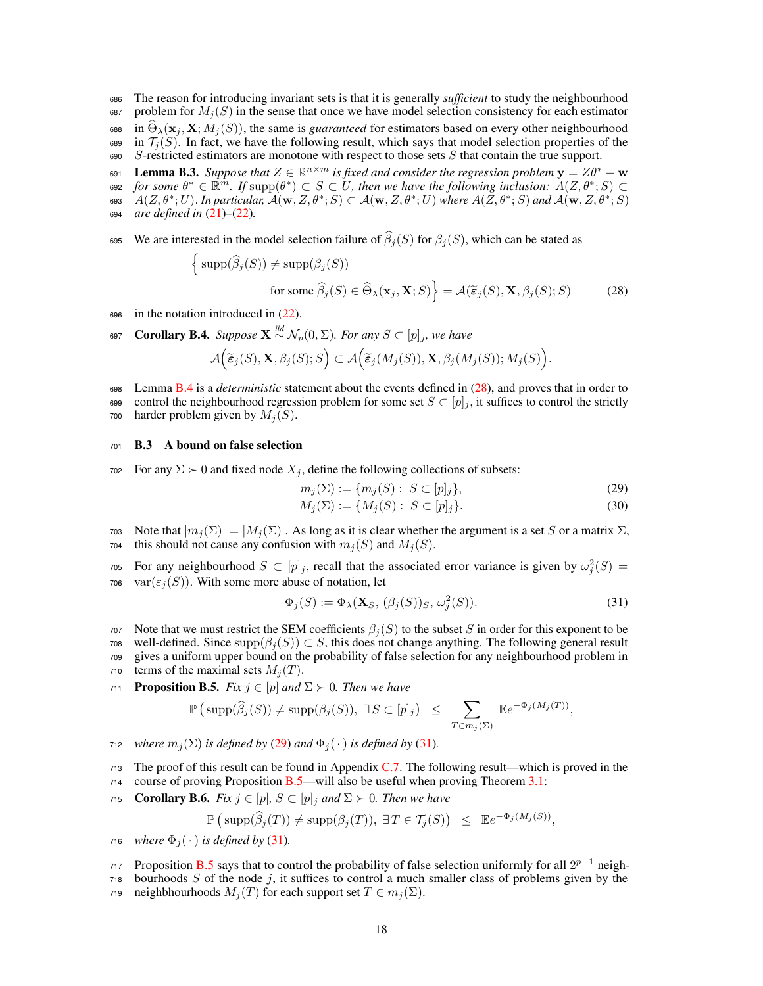<sup>686</sup> The reason for introducing invariant sets is that it is generally *sufficient* to study the neighbourhood 687 problem for  $M_i(S)$  in the sense that once we have model selection consistency for each estimator 688 in  $\Theta_{\lambda}(\mathbf{x}_j, \mathbf{X}; M_j(S))$ , the same is *guaranteed* for estimators based on every other neighbourhood 689 in  $\mathcal{T}_j(S)$ . In fact, we have the following result, which says that model selection properties of the *S*-restricted estimators are monotone with respect to those sets *S* that contain the true support.  $S$ -restricted estimators are monotone with respect to those sets  $S$  that contain the true support.

**Lemma B.3.** *Suppose that*  $Z \in \mathbb{R}^{n \times m}$  *is fixed and consider the regression problem*  $\mathbf{y} = Z\theta^* + \mathbf{w}$ <br>
see for some  $\theta^* \in \mathbb{R}^m$ . If supp $(\theta^*) \subset S \subset U$ , then we have the following inclusion:  $A(Z, \theta^*; S) \subset$  $f(x) = \text{for some } \theta^* \in \mathbb{R}^m$ . If  $\text{supp}(\theta^*) \subset S \subset U$ , then we have the following inclusion:  $A(Z, \theta^*; S) \subset A(Z, \theta^*)$ 693  $A(Z, \theta^*; U)$ . In particular,  $\mathcal{A}(\mathbf{w}, Z, \theta^*; S) \subset \mathcal{A}(\mathbf{w}, Z, \theta^*; U)$  where  $A(Z, \theta^*; S)$  and  $\mathcal{A}(\mathbf{w}, Z, \theta^*; S)$ <sup>694</sup> *are defined in* (21)*–*(22)*.*

we are interested in the model selection failure of  $\widehat{\beta}_j(S)$  for  $\beta_j(S)$ , which can be stated as

$$
\left\{ \text{supp}(\hat{\beta}_j(S)) \neq \text{supp}(\beta_j(S)) \right\}
$$
  
for some  $\hat{\beta}_j(S) \in \hat{\Theta}_{\lambda}(\mathbf{x}_j, \mathbf{X}; S) \right\} = \mathcal{A}(\tilde{\epsilon}_j(S), \mathbf{X}, \beta_j(S); S)$  (28)

- <sup>696</sup> in the notation introduced in (22).
- **COPTE 697 Corollary B.4.** *Suppose*  $X \stackrel{\text{iid}}{\sim} \mathcal{N}_p(0, \Sigma)$ *. For any*  $S \subset [p]_j$ *, we have*

$$
\mathcal{A}\Big(\widetilde{\boldsymbol{\varepsilon}}_j(S),{\bf X},\beta_j(S);S\Big)\subset\mathcal{A}\Big(\widetilde{\boldsymbol{\varepsilon}}_j(M_j(S)),{\bf X},\beta_j(M_j(S));M_j(S)\Big).
$$

<sup>698</sup> Lemma B.4 is a *deterministic* statement about the events defined in (28), and proves that in order to 699 control the neighbourhood regression problem for some set  $S \subset [p]_j$ , it suffices to control the strictly  $\text{rad}$  harder problem given by  $M_i(S)$ . harder problem given by  $M_i(S)$ .

## <sup>701</sup> B.3 A bound on false selection

702 For any  $\Sigma \succ 0$  and fixed node  $X_j$ , define the following collections of subsets:

$$
m_j(\Sigma) := \{ m_j(S) : S \subset [p]_j \},\tag{29}
$$

$$
M_j(\Sigma) := \{ M_j(S) : S \subset [p]_j \}. \tag{30}
$$

703 Note that  $|m_j(\Sigma)| = |M_j(\Sigma)|$ . As long as it is clear whether the argument is a set *S* or a matrix Σ,  $Z_1$ , this should not cause any confusion with  $m_j(S)$  and  $M_j(S)$ . this should not cause any confusion with  $m_j(S)$  and  $M_j(S)$ .

For any neighbourhood  $S \subset [p]_j$ , recall that the associated error variance is given by  $\omega_j^2(S) =$ 706 var $(\varepsilon_i(S))$ . With some more abuse of notation, let

$$
\Phi_j(S) := \Phi_\lambda(\mathbf{X}_S, (\beta_j(S))_S, \omega_j^2(S)).
$$
\n(31)

- 707 Note that we must restrict the SEM coefficients  $\beta_j(S)$  to the subset *S* in order for this exponent to be
- 708 well-defined. Since  $\text{supp}(\beta_j(S)) \subset S$ , this does not change anything. The following general result  $\gamma_{09}$  gives a uniform upper bound on the probability of false selection for any neighbourhood problem in
- gives a uniform upper bound on the probability of false selection for any neighbourhood problem in 710 terms of the maximal sets  $M_j(T)$ .

**711 Proposition B.5.** *Fix*  $j \in [p]$  *and*  $\Sigma \succ 0$ *. Then we have* 

$$
\mathbb{P}\left(\,\mathrm{supp}(\widehat{\beta}_j(S))\neq \mathrm{supp}(\beta_j(S)),\,\,\exists\,S\subset[p]_j\right)\,\,\leq\,\,\sum_{T\in m_j(\Sigma)}\,\mathbb{E}e^{-\Phi_j(M_j(T))},
$$

- *r*<sub>12</sub> *where*  $m_j(\Sigma)$  *is defined by* (29) *and*  $\Phi_j(\cdot)$  *is defined by* (31)*.*
- <sup>713</sup> The proof of this result can be found in Appendix C.7. The following result—which is proved in the <sup>714</sup> course of proving Proposition B.5—will also be useful when proving Theorem 3.1:
- 715 **Corollary B.6.** *Fix*  $j \in [p]$ ,  $S \subset [p]$ *j* and  $\Sigma \succ 0$ *. Then we have*

$$
\mathbb{P}\left(\, \text{supp}(\widehat{\beta}_j(T)) \neq \text{supp}(\beta_j(T)), \, \exists \, T \in \mathcal{T}_j(S) \right) \leq \mathbb{E}e^{-\Phi_j(M_j(S))},
$$

716 *where*  $\Phi_i(\cdot)$  *is defined by* (31).

- Proposition B.5 says that to control the probability of false selection uniformly for all  $2^{p-1}$  neigh-<sup>718</sup> bourhoods *S* of the node *j*, it suffices to control a much smaller class of problems given by the
- 719 neighbhourhoods  $M_j(T)$  for each support set  $T \in m_j(\Sigma)$ .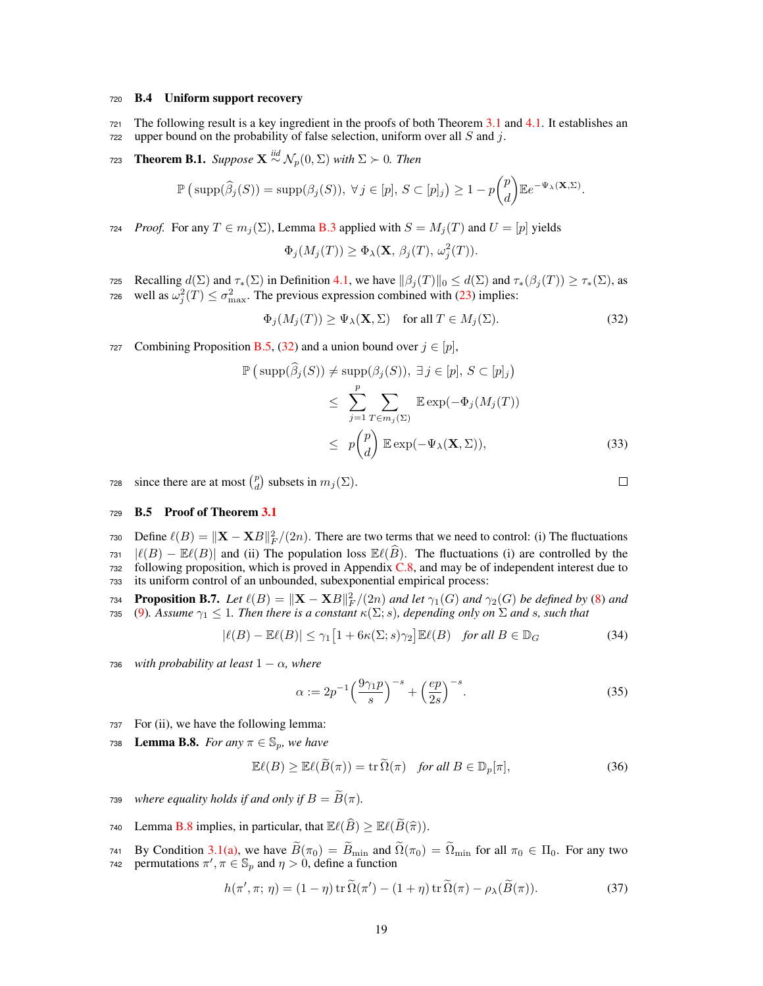#### <sup>720</sup> B.4 Uniform support recovery

- 721 The following result is a key ingredient in the proofs of both Theorem  $3.1$  and  $4.1$ . It establishes an <sup>722</sup> upper bound on the probability of false selection, uniform over all *S* and *j*.
- **Theorem B.1.** *Suppose*  $X \stackrel{iid}{\sim} \mathcal{N}_p(0, \Sigma)$  *with*  $\Sigma \succ 0$ *. Then*

$$
\mathbb{P}\left(\,\mathrm{supp}(\widehat{\beta}_j(S))=\mathrm{supp}(\beta_j(S)),\ \forall\,j\in[p],\,S\subset[p]_j\right)\geq 1-p\binom{p}{d}\mathbb{E}e^{-\Psi_{\lambda}(\mathbf{X},\Sigma)}.
$$

724 *Proof.* For any  $T \in m_j(\Sigma)$ , Lemma B.3 applied with  $S = M_j(T)$  and  $U = [p]$  yields

$$
\Phi_j(M_j(T)) \ge \Phi_\lambda(\mathbf{X}, \beta_j(T), \omega_j^2(T)).
$$

- 725 Recalling  $d(\Sigma)$  and  $\tau_*(\Sigma)$  in Definition 4.1, we have  $\|\beta_j(T)\|_0 \leq d(\Sigma)$  and  $\tau_*(\beta_j(T)) \geq \tau_*(\Sigma)$ , as well as  $\omega_i^2(T) \leq \sigma_{\text{max}}^2$ . The previous expression combined with (23) implies:
- $\text{well as } \omega_j^2(T) \leq \sigma_{\text{max}}^2$ . The previous expression combined with (23) implies:

 $\Phi_j(M_j(T)) \ge \Psi_\lambda(\mathbf{X}, \Sigma)$  for all  $T \in M_j(\Sigma)$ . (32)

727 Combining Proposition B.5, (32) and a union bound over  $j \in [p]$ ,

$$
\mathbb{P}\left(\text{supp}(\widehat{\beta}_j(S)) \neq \text{supp}(\beta_j(S)), \exists j \in [p], S \subset [p]_j\right)
$$
  
\n
$$
\leq \sum_{j=1}^p \sum_{T \in m_j(\Sigma)} \mathbb{E} \exp(-\Phi_j(M_j(T))
$$
  
\n
$$
\leq p {p \choose d} \mathbb{E} \exp(-\Psi_\lambda(\mathbf{X}, \Sigma)), \tag{33}
$$

since there are at most  $\binom{p}{d}$  subsets in  $m_j(\Sigma)$ .

# <sup>729</sup> B.5 Proof of Theorem 3.1

730 Define  $\ell(B) = ||\mathbf{X} - \mathbf{X}B||_F^2/(2n)$ . There are two terms that we need to control: (i) The fluctuations  $731$   $|\ell(B) - \mathbb{E}\ell(B)|$  and (ii) The population loss  $\mathbb{E}\ell(\widehat{B})$ . The fluctuations (i) are controlled by the following proposition, which is proved in Appendix C.8, and may be of independent interest due to following proposition, which is proved in Appendix  $C.8$ , and may be of independent interest due to <sup>733</sup> its uniform control of an unbounded, subexponential empirical process:

**Proposition B.7.** *Let*  $\ell(B) = ||\mathbf{X} - \mathbf{X}B||_F^2/(2n)$  *and let*  $\gamma_1(G)$  *and*  $\gamma_2(G)$  *be defined by* (8) *and* 735 (9). Assume  $\gamma_1 \leq 1$ . Then there is a constant  $\kappa(\Sigma; s)$ , depending only on  $\Sigma$  and s, such that

$$
|\ell(B) - \mathbb{E}\ell(B)| \le \gamma_1 \left[1 + 6\kappa(\Sigma; s)\gamma_2\right] \mathbb{E}\ell(B) \quad \text{for all } B \in \mathbb{D}_G \tag{34}
$$

736 *with probability at least*  $1 - \alpha$ *, where* 

$$
\alpha := 2p^{-1} \left( \frac{9\gamma_1 p}{s} \right)^{-s} + \left( \frac{ep}{2s} \right)^{-s}.
$$
 (35)

- <sup>737</sup> For (ii), we have the following lemma:
- 738 **Lemma B.8.** *For any*  $\pi \in \mathbb{S}_n$ *, we have*

$$
\mathbb{E}\ell(B) \ge \mathbb{E}\ell(\widetilde{B}(\pi)) = \text{tr}\,\widetilde{\Omega}(\pi) \quad \text{for all } B \in \mathbb{D}_p[\pi],\tag{36}
$$

- 739 *where equality holds if and only if*  $B = \widetilde{B}(\pi)$ *.*
- 740 Lemma B.8 implies, in particular, that  $\mathbb{E}\ell(\widehat{B}) \geq \mathbb{E}\ell(\widetilde{B}(\widehat{\pi}))$ .
- By Condition 3.1(a), we have  $B(\pi_0) = B_{\text{min}}$  and  $\Omega(\pi_0) = \Omega_{\text{min}}$  for all  $\pi_0 \in \Pi_0$ . For any two *raz* permutations  $\pi', \pi \in \mathbb{S}_p$  and  $\eta > 0$ , define a function

$$
h(\pi', \pi; \eta) = (1 - \eta) \operatorname{tr} \widetilde{\Omega}(\pi') - (1 + \eta) \operatorname{tr} \widetilde{\Omega}(\pi) - \rho_{\lambda}(\widetilde{B}(\pi)).
$$
 (37)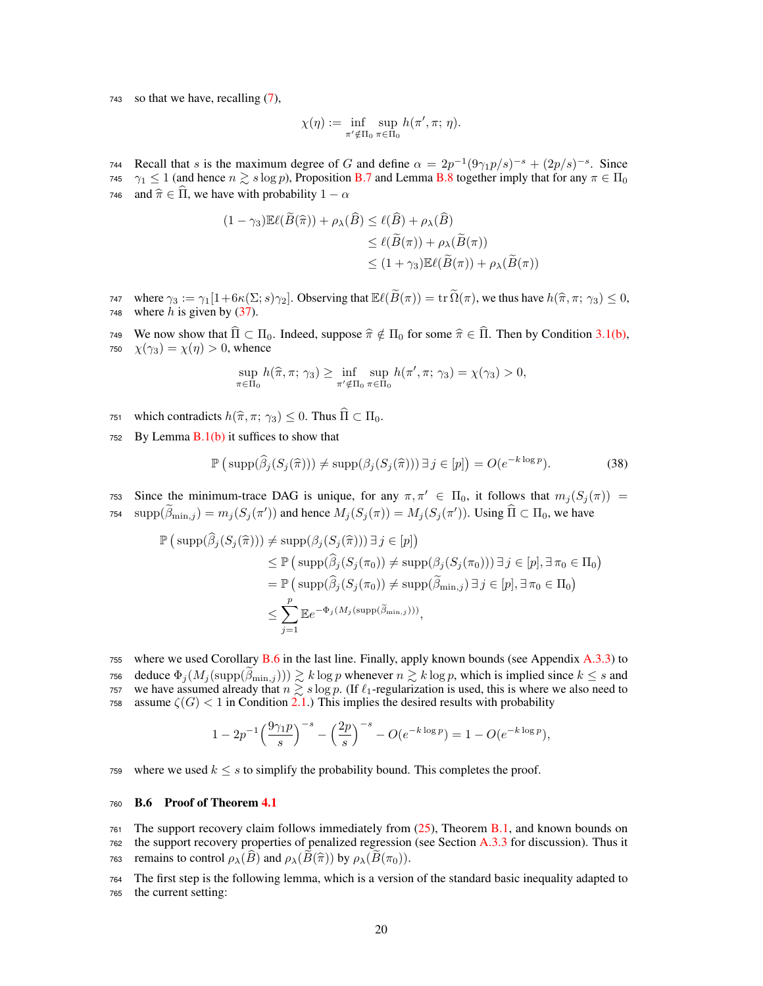<sup>743</sup> so that we have, recalling (7),

$$
\chi(\eta) := \inf_{\pi' \notin \Pi_0} \sup_{\pi \in \Pi_0} h(\pi', \pi; \eta).
$$

Recall that *s* is the maximum degree of *G* and define  $\alpha = 2p^{-1}(9\gamma_1 p/s)^{-s} + (2p/s)^{-s}$ . Since 745  $\gamma_1 \le 1$  (and hence  $n \gtrsim s \log p$ ), Proposition B.7 and Lemma B.8 together imply that for any  $\pi \in \Pi_0$ 746 and  $\hat{\pi} \in \hat{\Pi}$ , we have with probability  $1 - \alpha$ 

$$
(1 - \gamma_3) \mathbb{E}\ell(\widetilde{B}(\widehat{\pi})) + \rho_{\lambda}(\widehat{B}) \le \ell(\widehat{B}) + \rho_{\lambda}(\widehat{B})
$$
  
\n
$$
\le \ell(\widetilde{B}(\pi)) + \rho_{\lambda}(\widetilde{B}(\pi))
$$
  
\n
$$
\le (1 + \gamma_3) \mathbb{E}\ell(\widetilde{B}(\pi)) + \rho_{\lambda}(\widetilde{B}(\pi))
$$

747 where  $\gamma_3 := \gamma_1[1+6\kappa(\Sigma; s)\gamma_2]$ . Observing that  $\mathbb{E}\ell(\widetilde{B}(\pi)) = \text{tr }\widetilde{\Omega}(\pi)$ , we thus have  $h(\widehat{\pi}, \pi; \gamma_3) \leq 0$ , where *h* is given by (37). where  $h$  is given by  $(37)$ .

749 We now show that  $\hat{\Pi} \subset \Pi_0$ . Indeed, suppose  $\hat{\pi} \notin \Pi_0$  for some  $\hat{\pi} \in \hat{\Pi}$ . Then by Condition 3.1(b),  $\chi(\gamma_3) = \chi(\eta) > 0$ , whence  $\chi(\gamma_3) = \chi(\eta) > 0$ , whence

$$
\sup_{\pi \in \Pi_0} h(\widehat{\pi}, \pi; \gamma_3) \ge \inf_{\pi' \notin \Pi_0} \sup_{\pi \in \Pi_0} h(\pi', \pi; \gamma_3) = \chi(\gamma_3) > 0,
$$

751 which contradicts  $h(\hat{\pi}, \pi; \gamma_3) \leq 0$ . Thus  $\hat{\Pi} \subset \Pi_0$ .

752 By Lemma  $B(1(b))$  it suffices to show that

$$
\mathbb{P}\left(\operatorname{supp}(\widehat{\beta}_j(S_j(\widehat{\pi}))) \neq \operatorname{supp}(\beta_j(S_j(\widehat{\pi}))) \,\exists \, j \in [p]\right) = O(e^{-k \log p}).\tag{38}
$$

Since the minimum-trace DAG is unique, for any  $\pi, \pi' \in \Pi_0$ , it follows that  $m_j(S_j(\pi)) =$  $\sup(p(\beta_{\min,j}) = m_j(S_j(\pi'))$  and hence  $M_j(S_j(\pi)) = M_j(S_j(\pi'))$ . Using  $\Pi \subset \Pi_0$ , we have

$$
\mathbb{P}\left(\text{supp}(\widehat{\beta}_{j}(S_{j}(\widehat{\pi}))) \neq \text{supp}(\beta_{j}(S_{j}(\widehat{\pi}))) \exists j \in [p]\right) \n\leq \mathbb{P}\left(\text{supp}(\widehat{\beta}_{j}(S_{j}(\pi_{0})) \neq \text{supp}(\beta_{j}(S_{j}(\pi_{0}))) \exists j \in [p], \exists \pi_{0} \in \Pi_{0}\right) \n= \mathbb{P}\left(\text{supp}(\widehat{\beta}_{j}(S_{j}(\pi_{0})) \neq \text{supp}(\widetilde{\beta}_{\min,j}) \exists j \in [p], \exists \pi_{0} \in \Pi_{0}\right) \n\leq \sum_{j=1}^{p} \mathbb{E}e^{-\Phi_{j}(M_{j}(\text{supp}(\widetilde{\beta}_{\min,j})))},
$$

<sup>755</sup> where we used Corollary B.6 in the last line. Finally, apply known bounds (see Appendix A.3.3) to  $\sigma$ <sup>56</sup> deduce  $\Phi_j(M_j(\text{supp}(\beta_{\text{min},j}))) \gtrsim k \log p$  whenever  $n \gtrsim k \log p$ , which is implied since  $k \leq s$  and 757 we have assumed already that  $n \gtrsim s \log p$ . (If  $\ell_1$ -regularization is used, this is where we also need to 758 assume  $\zeta(G)$  < 1 in Condition 2.1.) This implies the desired results with probability

$$
1 - 2p^{-1} \left(\frac{9\gamma_1 p}{s}\right)^{-s} - \left(\frac{2p}{s}\right)^{-s} - O(e^{-k \log p}) = 1 - O(e^{-k \log p}),
$$

759 where we used  $k \leq s$  to simplify the probability bound. This completes the proof.

# <sup>760</sup> B.6 Proof of Theorem 4.1

761 The support recovery claim follows immediately from  $(25)$ , Theorem B.1, and known bounds on <sup>762</sup> the support recovery properties of penalized regression (see Section A.3.3 for discussion). Thus it

763 remains to control  $\rho_{\lambda}(B)$  and  $\rho_{\lambda}(B(\hat{\pi}))$  by  $\rho_{\lambda}(B(\pi_0)).$ 

<sup>764</sup> The first step is the following lemma, which is a version of the standard basic inequality adapted to <sup>765</sup> the current setting: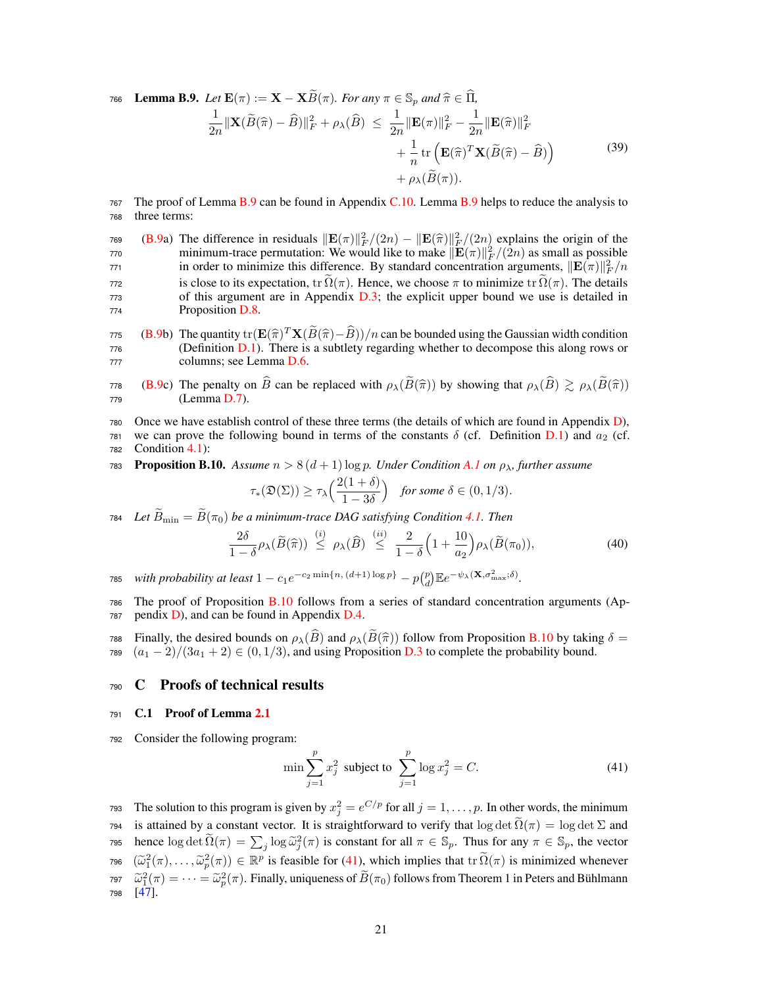**Lemma B.9.** *Let*  $\mathbf{E}(\pi) := \mathbf{X} - \mathbf{X}\widetilde{B}(\pi)$ *. For any*  $\pi \in \mathbb{S}_p$  *and*  $\widehat{\pi} \in \widehat{\Pi}$ *,* 

$$
\frac{1}{2n} \|\mathbf{X}(\widetilde{B}(\widehat{\pi}) - \widehat{B})\|_{F}^{2} + \rho_{\lambda}(\widehat{B}) \le \frac{1}{2n} \|\mathbf{E}(\pi)\|_{F}^{2} - \frac{1}{2n} \|\mathbf{E}(\widehat{\pi})\|_{F}^{2} + \frac{1}{n} \text{tr}\left(\mathbf{E}(\widehat{\pi})^{T} \mathbf{X}(\widetilde{B}(\widehat{\pi}) - \widehat{B})\right) + \rho_{\lambda}(\widetilde{B}(\pi)).
$$
\n(39)

- <sup>767</sup> The proof of Lemma B.9 can be found in Appendix C.10. Lemma B.9 helps to reduce the analysis to <sup>768</sup> three terms:
- 769 (B.9a) The difference in residuals  $\|\mathbf{E}(\pi)\|_F^2/(2n) \|\mathbf{E}(\hat{\pi})\|_F^2/(2n)$  explains the origin of the principle minimum trace permutation: We would like to make  $\|\mathbf{E}(\pi)\|_F^2/(2n)$  as small as possible minimum-trace permutation: We would like to make  $\|\mathbf{E}(\pi)\|_F^2/2n$  as small as possible in order to minimize this difference. By standard concentration arguments,  $\|\mathbf{E}(\pi)\|_F^2/n$  $772$  is close to its expectation, tr  $\Omega(\pi)$ . Hence, we choose π to minimize tr  $\Omega(\pi)$ . The details of this argument are in Appendix D.3; the explicit upper bound we use is detailed in of this argument are in Appendix  $D.3$ ; the explicit upper bound we use is detailed in <sup>774</sup> Proposition D.8.
- (B.9b) The quantity  $tr(\mathbf{E}(\hat{\pi})^T \mathbf{X}(\tilde{B}(\hat{\pi}) \hat{B}))/n$  can be bounded using the Gaussian width condition (Definition D.1). There is a subtlety regarding whether to decompose this along rows or (Definition  $D.1$ ). There is a subtlety regarding whether to decompose this along rows or <sup>777</sup> columns; see Lemma D.6.
- 778 (B.9c) The penalty on  $\widehat{B}$  can be replaced with  $\rho_{\lambda}(\widetilde{B}(\widehat{\pi}))$  by showing that  $\rho_{\lambda}(\widehat{B}) \gtrsim \rho_{\lambda}(\widetilde{B}(\widehat{\pi}))$ <br>
(Lemma D.7).  $(Lemma D.7)$ .
- <sup>780</sup> Once we have establish control of these three terms (the details of which are found in Appendix D), 781 we can prove the following bound in terms of the constants  $\delta$  (cf. Definition D.1) and  $a_2$  (cf. 782 Condition  $4.1$ :
- 783 **Proposition B.10.** Assume  $n > 8(d+1) \log p$ . Under Condition A.1 on  $\rho_{\lambda}$ , further assume

$$
\tau_*({\mathfrak D}(\Sigma)) \ge \tau_\lambda\Big(\frac{2(1+\delta)}{1-3\delta}\Big) \quad \text{for some } \delta \in (0,1/3).
$$

784 Let  $\widetilde{B}_{\text{min}} = \widetilde{B}(\pi_0)$  *be a minimum-trace DAG satisfying Condition* 4.1. Then

$$
\frac{2\delta}{1-\delta}\rho_{\lambda}(\widetilde{B}(\widehat{\pi})) \stackrel{(i)}{\leq} \rho_{\lambda}(\widehat{B}) \stackrel{(ii)}{\leq} \frac{2}{1-\delta}\Big(1+\frac{10}{a_2}\Big)\rho_{\lambda}(\widetilde{B}(\pi_0)),\tag{40}
$$

*r*85 *with probability at least*  $1 - c_1 e^{-c_2 \min\{n, (d+1) \log p\}} - p {p \choose d} \mathbb{E} e^{-\psi_\lambda(\mathbf{X}, \sigma_{\max}^2; \delta)}.$ 

<sup>786</sup> The proof of Proposition B.10 follows from a series of standard concentration arguments (Ap- $787$  pendix D), and can be found in Appendix D.4.

788 Finally, the desired bounds on  $\rho_{\lambda}(B)$  and  $\rho_{\lambda}(B(\hat{\pi}))$  follow from Proposition B.10 by taking  $\delta =$ <br>728  $(a_1 - 2)/(3a_1 + 2) \subset (0, 1/3)$  and using Proposition B.3 to complete the probability bound 789  $(a_1 - 2)/(3a_1 + 2) \in (0, 1/3)$ , and using Proposition D.3 to complete the probability bound.

# <sup>790</sup> C Proofs of technical results

## <sup>791</sup> C.1 Proof of Lemma 2.1

<sup>792</sup> Consider the following program:

$$
\min \sum_{j=1}^{p} x_j^2 \text{ subject to } \sum_{j=1}^{p} \log x_j^2 = C. \tag{41}
$$

The solution to this program is given by  $x_j^2 = e^{C/p}$  for all  $j = 1, \ldots, p$ . In other words, the minimum 794 is attained by a constant vector. It is straightforward to verify that  $\log \det \tilde{\Omega}(\pi) = \log \det \Sigma$  and *rss* hence  $\log \det \widetilde{\Omega}(\pi) = \sum_j \log \widetilde{\omega}_j^2(\pi)$  is constant for all  $\pi \in \mathbb{S}_p$ . Thus for any  $\pi \in \mathbb{S}_p$ , the vector 796  $(\widetilde{\omega}_1^2(\pi), \ldots, \widetilde{\omega}_p^2(\pi)) \in \mathbb{R}^p$  is feasible for (41), which implies that  $\text{tr } \Omega(\pi)$  is minimized whenever  $\tilde{\omega}_1^2(\pi) = \cdots = \tilde{\omega}_p^2(\pi)$ . Finally, uniqueness of  $B(\pi_0)$  follows from Theorem 1 in Peters and Bühlmann <sup>798</sup> [47].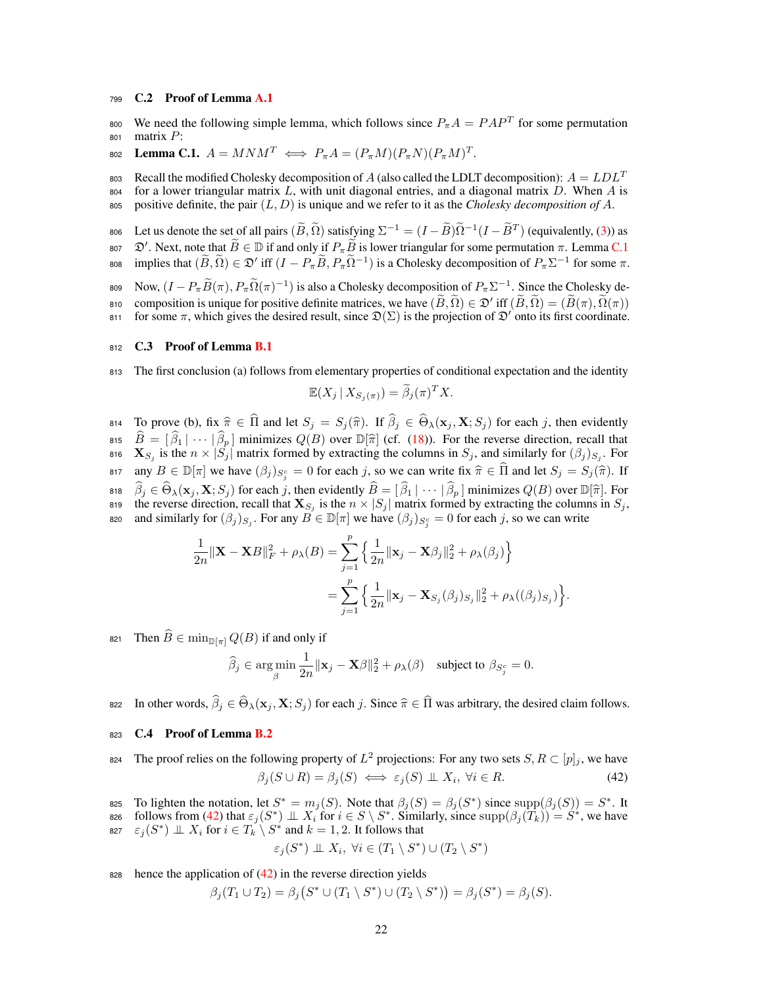# <sup>799</sup> C.2 Proof of Lemma A.1

we need the following simple lemma, which follows since  $P_{\pi}A = PAP^T$  for some permutation <sup>801</sup> matrix *P*:

 $P_{\pi}A = (P_{\pi}M)(P_{\pi}N)(P_{\pi}M)^{T}.$ 

803 Recall the modified Cholesky decomposition of *A* (also called the LDLT decomposition):  $A = LDL^T$ <sup>804</sup> for a lower triangular matrix *L*, with unit diagonal entries, and a diagonal matrix *D*. When *A* is <sup>805</sup> positive definite, the pair (*L, D*) is unique and we refer to it as the *Cholesky decomposition of A*.

806 Let us denote the set of all pairs  $(\widetilde{B}, \widetilde{\Omega})$  satisfying  $\Sigma^{-1} = (I - \widetilde{B})\widetilde{\Omega}^{-1}(I - \widetilde{B}^{T})$  (equivalently, (3)) as

807  $\mathcal{D}'$ . Next, note that  $B \in \mathbb{D}$  if and only if  $P_{\pi} B$  is lower triangular for some permutation  $\pi$ . Lemma C.1  $F_{\pi}$  implies that  $(\widetilde{B}, \widetilde{\Omega}) \in \mathfrak{D}'$  iff  $(I - P_{\pi} \widetilde{B}, P_{\pi} \widetilde{\Omega}^{-1})$  is a Cholesky decomposition of  $P_{\pi} \Sigma^{-1}$  for some π.

809 Now,  $(I - P_{\pi} \widetilde{B}(\pi), P_{\pi} \widetilde{\Omega}(\pi)^{-1})$  is also a Cholesky decomposition of  $P_{\pi} \Sigma^{-1}$ . Since the Cholesky decomposition is unique for positive definite matrices, we have  $(\widetilde{B}, \widetilde{\Omega}) \in \mathfrak{D}'$  iff  $(\widetilde{B}, \widetilde{\Omega}) = (\widetilde{B}(\pi), \widetilde{\Omega}(\pi))$  for some π, which gives the desired result, since  $\mathfrak{D}(\Sigma)$  is the projection of  $\mathfrak{$ 

for some  $\pi$ , which gives the desired result, since  $\mathfrak{D}(\Sigma)$  is the projection of  $\mathfrak{D}'$  onto its first coordinate.

## 812 C.3 Proof of Lemma B.1

<sup>813</sup> The first conclusion (a) follows from elementary properties of conditional expectation and the identity

$$
\mathbb{E}(X_j \mid X_{S_j(\pi)}) = \widetilde{\beta}_j(\pi)^T X.
$$

 $\hat{\mathbf{B}}$  2 **Final 2**  $\hat{\mathbf{B}}$  and let  $S_j = S_j(\hat{\pi})$ . If  $\beta_j \in \Theta_{\lambda}(\mathbf{x}_j, \mathbf{X}; S_j)$  for each *j*, then evidently  $B = [\beta_1 | \cdots | \beta_p]$  minimizes  $Q(B)$  over  $\mathbb{D}[\hat{\pi}]$  (cf. (18)). For the reverse direction, recall that 816  $\mathbf{X}_{S_j}$  is the  $n \times |S_j|$  matrix formed by extracting the columns in  $S_j$ , and similarly for  $(\beta_j)_{S_j}$ . For any  $B \in \mathbb{D}[\pi]$  we have  $(\beta_j)_{S_i^c} = 0$  for each *j*, so we can write fix  $\hat{\pi} \in \widehat{\Pi}$  and let  $S_j = S_j(\hat{\pi})$ . If  $\beta_j \in \Theta_\lambda(\mathbf{x}_j, \mathbf{X}; S_j)$  for each *j*, then evidently  $B = [\beta_1 | \cdots | \beta_p]$  minimizes  $Q(B)$  over  $\mathbb{D}[\hat{\pi}]$ . For the reverse direction, recall that  $X_{S_j}$  is the  $n \times |S_j|$  matrix formed by extracting the columns in  $S_j$ , as and similarly for  $(\beta_j)_{S_j}$ . For any  $B \in \mathbb{D}[\pi]$  we have  $(\beta_j)_{S_j^c} = 0$  for each *j*, so we can write

$$
\frac{1}{2n} \|\mathbf{X} - \mathbf{X}B\|_F^2 + \rho_\lambda(B) = \sum_{j=1}^p \left\{ \frac{1}{2n} \|\mathbf{x}_j - \mathbf{X}\beta_j\|_2^2 + \rho_\lambda(\beta_j) \right\}
$$

$$
= \sum_{j=1}^p \left\{ \frac{1}{2n} \|\mathbf{x}_j - \mathbf{X}_{S_j}(\beta_j)_{S_j}\|_2^2 + \rho_\lambda((\beta_j)_{S_j}) \right\}
$$

*.*

821 Then  $\widehat{B} \in \min_{\mathbb{D}[\pi]} Q(B)$  if and only if

$$
\widehat{\beta}_j \in \argmin_{\beta} \frac{1}{2n} ||\mathbf{x}_j - \mathbf{X}\beta||_2^2 + \rho_{\lambda}(\beta) \quad \text{subject to } \beta_{S_j^c} = 0.
$$

 $\hat{B}_i$  In other words,  $\hat{\beta}_i \in \widehat{\Theta}_\lambda(\mathbf{x}_i, \mathbf{X}; S_i)$  for each *j*. Since  $\hat{\pi} \in \widehat{\Pi}$  was arbitrary, the desired claim follows.

# 823 C.4 Proof of Lemma B.2

- The proof relies on the following property of  $L^2$  projections: For any two sets  $S, R \subset [p]_j$ , we have  $\beta_i(S \cup R) = \beta_i(S) \iff \varepsilon_i(S) \perp X_i, \forall i \in R.$  (42)
- 825 To lighten the notation, let  $S^* = m_j(S)$ . Note that  $\beta_j(S) = \beta_j(S^*)$  since  $\text{supp}(\beta_j(S)) = S^*$ . It
- $f(\mathcal{S}_i)$  is from (42) that  $\varepsilon_j(S^*) \perp X_i$  for  $i \in S \setminus S^*$ . Similarly, since  $\text{supp}(\beta_j(T_k)) = S^*$ , we have 827  $\varepsilon_i(S^*) \perp X_i$  for  $i \in T_k \setminus S^*$  and  $k = 1, 2$ . It follows that

$$
\varepsilon_j(S^*) \perp \!\!\! \perp X_i, \ \forall i \in (T_1 \setminus S^*) \cup (T_2 \setminus S^*)
$$

828 hence the application of  $(42)$  in the reverse direction yields

$$
\beta_j(T_1 \cup T_2) = \beta_j(S^* \cup (T_1 \setminus S^*) \cup (T_2 \setminus S^*)) = \beta_j(S^*) = \beta_j(S).
$$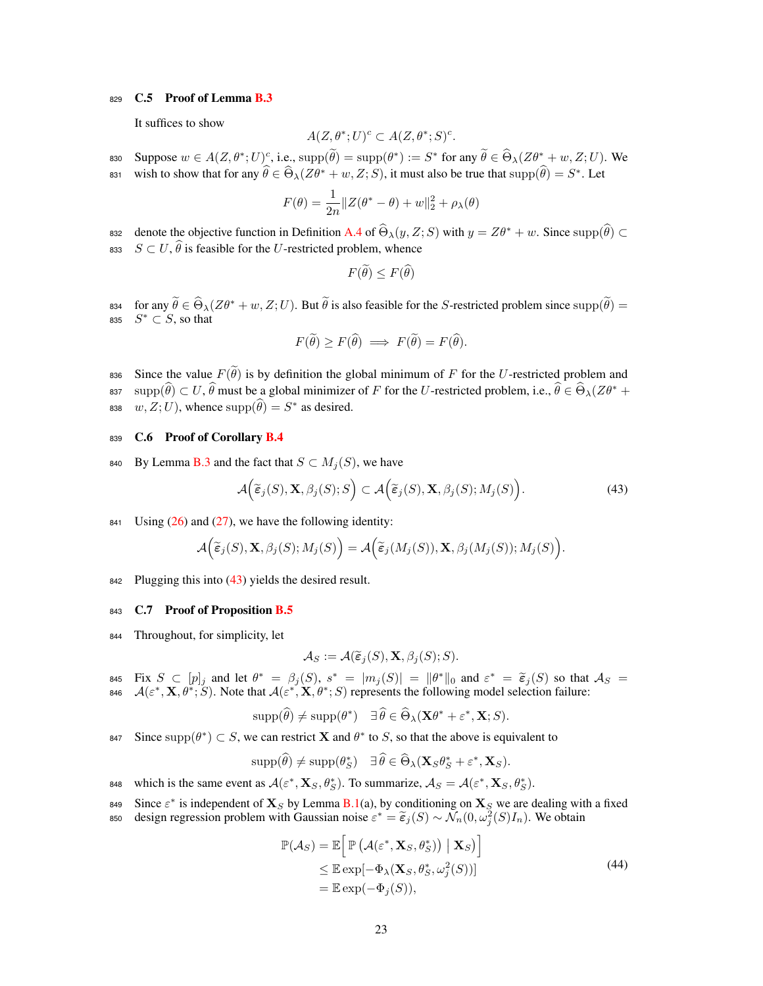# 829 C.5 Proof of Lemma B.3

It suffices to show

$$
A(Z, \theta^*; U)^c \subset A(Z, \theta^*; S)^c.
$$

 $\text{Suppose } w \in A(Z, \theta^*; U)_{\mathcal{L}}^c$ , i.e.,  $\text{supp}(\theta) = \text{supp}(\theta^*) := S^*$  for any  $\hat{\theta} \in \Theta_{\lambda}(Z\theta^* + w, Z; U)$ . We wish to show that for any  $\theta \in \Theta_{\lambda}(Z\theta^* + w, Z; S)$ , it must also be true that  $\text{supp}(\theta) = S^*$ . Let

$$
F(\theta) = \frac{1}{2n} ||Z(\theta^* - \theta) + w||_2^2 + \rho_{\lambda}(\theta)
$$

denote the objective function in Definition A.4 of  $\Theta_{\lambda}(y, Z; S)$  with  $y = Z\theta^* + w$ . Since supp $(\theta) \subset$ 833  $S \subset U$ ,  $\theta$  is feasible for the *U*-restricted problem, whence

$$
F(\hat{\theta}) \le F(\hat{\theta})
$$

for any  $\theta \in \Theta_{\lambda}(Z\theta^* + w, Z; U)$ . But  $\theta$  is also feasible for the *S*-restricted problem since supp $(\theta)$  = 835  $S^* \subset S$ , so that

$$
F(\widetilde{\theta}) \ge F(\widehat{\theta}) \implies F(\widetilde{\theta}) = F(\widehat{\theta}).
$$

836 Since the value  $F(\theta)$  is by definition the global minimum of *F* for the *U*-restricted problem and ss supp $(\theta) \subset U$ ,  $\theta$  must be a global minimizer of *F* for the *U*-restricted problem, i.e.,  $\theta \in \Theta_{\lambda}(Z\theta^* + Z\theta^*)$ 838  $w, Z; U$ ), whence  $\text{supp}(\theta) = S^*$  as desired.

# 839 C.6 Proof of Corollary B.4

840 By Lemma B.3 and the fact that  $S \subset M_i(S)$ , we have

$$
\mathcal{A}\Big(\widetilde{\boldsymbol{\varepsilon}}_j(S), \mathbf{X}, \beta_j(S); S\Big) \subset \mathcal{A}\Big(\widetilde{\boldsymbol{\varepsilon}}_j(S), \mathbf{X}, \beta_j(S); M_j(S)\Big). \tag{43}
$$

841 Using  $(26)$  and  $(27)$ , we have the following identity:

$$
\mathcal{A}\Big(\widetilde{\boldsymbol{\varepsilon}}_j(S), \mathbf{X}, \beta_j(S); M_j(S)\Big) = \mathcal{A}\Big(\widetilde{\boldsymbol{\varepsilon}}_j(M_j(S)), \mathbf{X}, \beta_j(M_j(S)); M_j(S)\Big).
$$

842 Plugging this into  $(43)$  yields the desired result.

#### 843 C.7 Proof of Proposition B.5

<sup>844</sup> Throughout, for simplicity, let

$$
\mathcal{A}_S := \mathcal{A}(\widetilde{\epsilon}_j(S), \mathbf{X}, \beta_j(S); S).
$$

 $\lim_{\delta \to 0} \mathbf{F}$  is  $S \subset [p]_j$  and let  $\theta^* = \beta_j(S), s^* = |m_j(S)| = ||\theta^*||_0$  and  $\varepsilon^* = \widetilde{\varepsilon}_j(S)$  so that  $\mathcal{A}_S = \mathcal{A}(\varepsilon^* \times \theta^*, S)$ . Note that  $\mathcal{A}(\varepsilon^* \times \theta^*, S)$  parameter the following model selection follows:  $A(\varepsilon^*, \mathbf{X}, \theta^*; S)$ . Note that  $A(\varepsilon^*, \mathbf{X}, \theta^*; S)$  represents the following model selection failure:

$$
\operatorname{supp}(\widehat{\theta}) \neq \operatorname{supp}(\theta^*) \quad \exists \widehat{\theta} \in \widehat{\Theta}_{\lambda}(\mathbf{X}\theta^* + \varepsilon^*, \mathbf{X}; S).
$$

Since supp $(\theta^*) \subset S$ , we can restrict **X** and  $\theta^*$  to *S*, so that the above is equivalent to

$$
\operatorname{supp}(\widehat{\theta}) \neq \operatorname{supp}(\theta_S^*) \quad \exists \widehat{\theta} \in \widehat{\Theta}_{\lambda}(\mathbf{X}_S \theta_S^* + \varepsilon^*, \mathbf{X}_S).
$$

848 which is the same event as  $\mathcal{A}(\varepsilon^*, \mathbf{X}_S, \theta_S^*)$ . To summarize,  $\mathcal{A}_S = \mathcal{A}(\varepsilon^*, \mathbf{X}_S, \theta_S^*)$ .

849 Since  $\varepsilon^*$  is independent of  $X_S$  by Lemma B.1(a), by conditioning on  $X_S$  we are dealing with a fixed asso design regression problem with Gaussian noise  $\varepsilon^* = \tilde{\epsilon}_j(S) \sim \tilde{\mathcal{N}}_n(0, \omega_j^2(S)I_n)$ . We obtain

$$
\mathbb{P}(\mathcal{A}_{S}) = \mathbb{E}\Big[\mathbb{P}\left(\mathcal{A}(\varepsilon^{*}, \mathbf{X}_{S}, \theta_{S}^{*})\right) \mid \mathbf{X}_{S}\right] \leq \mathbb{E}\exp[-\Phi_{\lambda}(\mathbf{X}_{S}, \theta_{S}^{*}, \omega_{j}^{2}(S))]
$$
\n
$$
= \mathbb{E}\exp(-\Phi_{j}(S)),
$$
\n(44)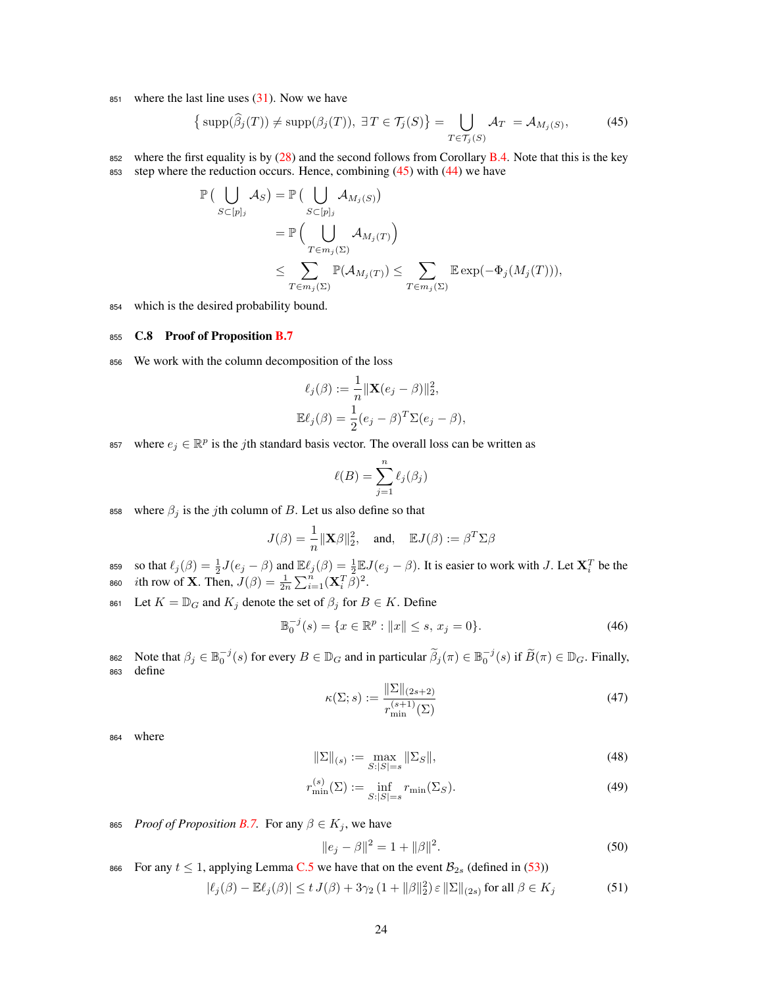851 where the last line uses  $(31)$ . Now we have

$$
\left\{\text{supp}(\widehat{\beta}_j(T)) \neq \text{supp}(\beta_j(T)), \ \exists \, T \in \mathcal{T}_j(S)\right\} = \bigcup_{T \in \mathcal{T}_j(S)} \mathcal{A}_T = \mathcal{A}_{M_j(S)},\tag{45}
$$

852 where the first equality is by  $(28)$  and the second follows from Corollary B.4. Note that this is the key 853 step where the reduction occurs. Hence, combining  $(45)$  with  $(44)$  we have

$$
\mathbb{P}\left(\bigcup_{S\subset [p]_j} A_S\right) = \mathbb{P}\left(\bigcup_{S\subset [p]_j} A_{M_j(S)}\right)
$$
  
\n
$$
= \mathbb{P}\left(\bigcup_{T\in m_j(\Sigma)} A_{M_j(T)}\right)
$$
  
\n
$$
\leq \sum_{T\in m_j(\Sigma)} \mathbb{P}(A_{M_j(T)}) \leq \sum_{T\in m_j(\Sigma)} \mathbb{E} \exp(-\Phi_j(M_j(T))),
$$

<sup>854</sup> which is the desired probability bound.

# 855 C.8 Proof of Proposition B.7

<sup>856</sup> We work with the column decomposition of the loss

$$
\ell_j(\beta) := \frac{1}{n} \|\mathbf{X}(e_j - \beta)\|_2^2,
$$
  

$$
\mathbb{E}\ell_j(\beta) = \frac{1}{2}(e_j - \beta)^T \Sigma(e_j - \beta),
$$

<sup>857</sup> where  $e_j \in \mathbb{R}^p$  is the *j*th standard basis vector. The overall loss can be written as

$$
\ell(B) = \sum_{j=1}^{n} \ell_j(\beta_j)
$$

858 where  $\beta_j$  is the *j*th column of *B*. Let us also define so that

$$
J(\beta) = \frac{1}{n} ||\mathbf{X}\beta||_2^2
$$
, and,  $\mathbb{E}J(\beta) := \beta^T \Sigma \beta$ 

 $\iota_j(\beta) = \frac{1}{2}J(e_j - \beta)$  and  $\mathbb{E}\ell_j(\beta) = \frac{1}{2}\mathbb{E}J(e_j - \beta)$ . It is easier to work with *J*. Let  $\mathbf{X}_i^T$  be the 860 *i*th row of **X**. Then,  $J(\beta) = \frac{1}{2n} \sum_{i=1}^{n} (\mathbf{X}_i^T \tilde{\beta})^2$ .

861 Let  $K = \mathbb{D}_G$  and  $K_j$  denote the set of  $\beta_j$  for  $B \in K$ . Define

$$
\mathbb{B}_0^{-j}(s) = \{ x \in \mathbb{R}^p : ||x|| \le s, x_j = 0 \}. \tag{46}
$$

862 Note that  $\beta_j \in \mathbb{B}_0^{-j}(s)$  for every  $B \in \mathbb{D}_G$  and in particular  $\widetilde{\beta}_j(\pi) \in \mathbb{B}_0^{-j}(s)$  if  $\widetilde{B}(\pi) \in \mathbb{D}_G$ . Finally, <sup>863</sup> define

$$
\kappa(\Sigma; s) := \frac{\|\Sigma\|_{(2s+2)}}{r_{\min}^{(s+1)}(\Sigma)}\tag{47}
$$

<sup>864</sup> where

$$
\|\Sigma\|_{(s)} := \max_{S:|S|=s} \|\Sigma_S\|,\tag{48}
$$

$$
r_{\min}^{(s)}(\Sigma) := \inf_{S:|S|=s} r_{\min}(\Sigma_S). \tag{49}
$$

865 *Proof of Proposition B.7.* For any  $\beta \in K_j$ , we have

$$
||e_j - \beta||^2 = 1 + ||\beta||^2.
$$
\n(50)

866 For any  $t \le 1$ , applying Lemma C.5 we have that on the event  $\mathcal{B}_{2s}$  (defined in (53))

$$
|\ell_j(\beta) - \mathbb{E}\ell_j(\beta)| \le t J(\beta) + 3\gamma_2 (1 + ||\beta||_2^2) \varepsilon ||\Sigma||_{(2s)} \text{ for all } \beta \in K_j
$$
 (51)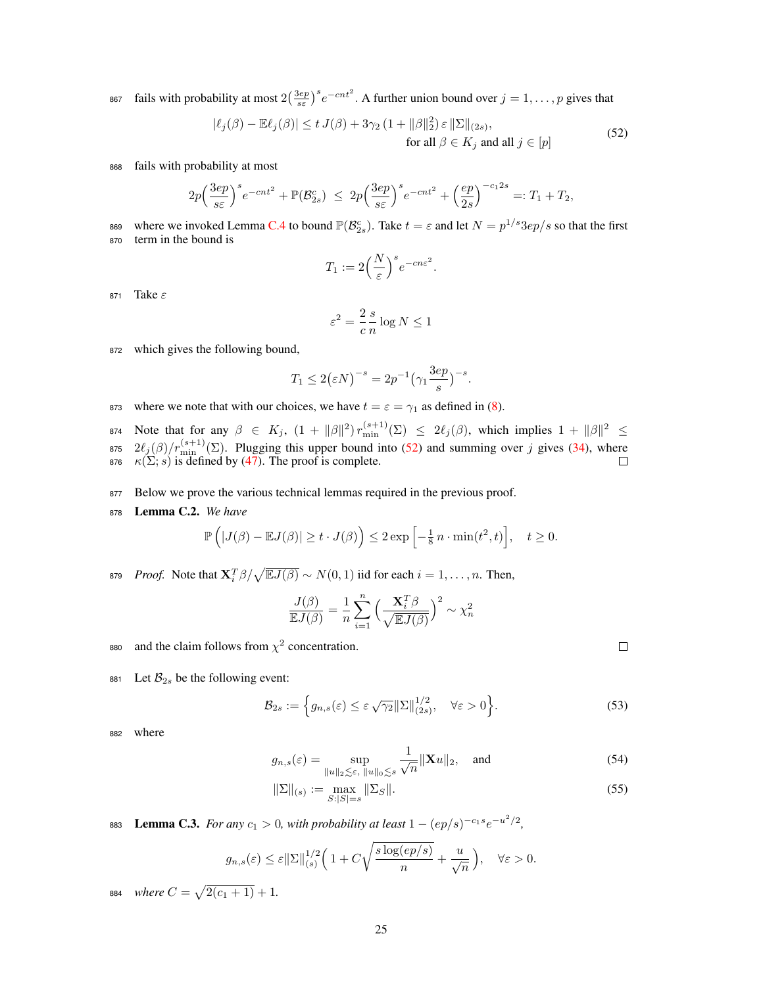867 fails with probability at most  $2(\frac{3ep}{s\varepsilon})^s e^{-cnt^2}$ . A further union bound over  $j = 1, \ldots, p$  gives that

$$
|\ell_j(\beta) - \mathbb{E}\ell_j(\beta)| \le t J(\beta) + 3\gamma_2 (1 + ||\beta||_2^2) \varepsilon ||\Sigma||_{(2s)},
$$
  
for all  $\beta \in K_j$  and all  $j \in [p]$  (52)

<sup>868</sup> fails with probability at most

$$
2p\Big(\frac{3ep}{s\varepsilon}\Big)^s e^{-cnt^2} + \mathbb{P}(\mathcal{B}_{2s}^c) \leq 2p\Big(\frac{3ep}{s\varepsilon}\Big)^s e^{-cnt^2} + \Big(\frac{ep}{2s}\Big)^{-c_1 2s} =: T_1 + T_2,
$$

where we invoked Lemma C.4 to bound  $\mathbb{P}(\mathcal{B}_{2s}^c)$ . Take  $t = \varepsilon$  and let  $N = p^{1/s} 3e p/s$  so that the first <sup>870</sup> term in the bound is

$$
T_1:=2\Big(\frac{N}{\varepsilon}\Big)^s e^{-cn\varepsilon^2}.
$$

871 Take  $\varepsilon$ 

$$
\varepsilon^2 = \frac{2}{c} \frac{s}{n} \log N \le 1
$$

<sup>872</sup> which gives the following bound,

$$
T_1 \le 2\left(\varepsilon N\right)^{-s} = 2p^{-1}\left(\gamma_1 \frac{3ep}{s}\right)^{-s}.
$$

873 where we note that with our choices, we have  $t = \varepsilon = \gamma_1$  as defined in (8).

874 Note that for any  $\beta \in K_j$ ,  $(1 + ||\beta||^2) r_{\min}^{(s+1)}(\Sigma) \leq 2\ell_j(\beta)$ , which implies  $1 + ||\beta||^2 \leq$  $2\ell_j(\beta)/r_{\min}^{(s+1)}(\Sigma)$ . Plugging this upper bound into (52) and summing over *j* gives (34), where 876  $\kappa(\Sigma; s)$  is defined by (47). The proof is complete.

- 877 Below we prove the various technical lemmas required in the previous proof.
- <sup>878</sup> Lemma C.2. *We have*

$$
\mathbb{P}\left(|J(\beta)-\mathbb{E}J(\beta)|\geq t\cdot J(\beta)\right)\leq 2\exp\left[-\frac{1}{8}n\cdot\min(t^2,t)\right],\quad t\geq 0.
$$

*Proof.* Note that  $\mathbf{X}_i^T \beta / \sqrt{\mathbb{E} J(\beta)} \sim N(0, 1)$  iid for each  $i = 1, ..., n$ . Then,

$$
\frac{J(\beta)}{\mathbb{E}J(\beta)} = \frac{1}{n} \sum_{i=1}^{n} \left(\frac{\mathbf{X}_i^T \beta}{\sqrt{\mathbb{E}J(\beta)}}\right)^2 \sim \chi_n^2
$$

- aso and the claim follows from  $\chi^2$  concentration.
- 881 Let  $\mathcal{B}_{2s}$  be the following event:

$$
\mathcal{B}_{2s} := \left\{ g_{n,s}(\varepsilon) \le \varepsilon \sqrt{\gamma_2} \|\Sigma\|_{(2s)}^{1/2}, \quad \forall \varepsilon > 0 \right\}.
$$
 (53)

<sup>882</sup> where

$$
g_{n,s}(\varepsilon) = \sup_{\|u\|_2 \lesssim \varepsilon, \|u\|_0 \lesssim s} \frac{1}{\sqrt{n}} \|\mathbf{X}u\|_2, \text{ and } (54)
$$

$$
\|\Sigma\|_{(s)} := \max_{S:|S|=s} \|\Sigma_S\|.\tag{55}
$$

**Example 1.5.** *For any*  $c_1 > 0$ *, with probability at least*  $1 - (ep/s)^{-c_1 s} e^{-u^2/2}$ ,

$$
g_{n,s}(\varepsilon) \leq \varepsilon ||\Sigma||_{(s)}^{1/2} \left( 1 + C \sqrt{\frac{s \log(ep/s)}{n}} + \frac{u}{\sqrt{n}} \right), \quad \forall \varepsilon > 0.
$$

*884* where  $C = \sqrt{2(c_1 + 1)} + 1$ .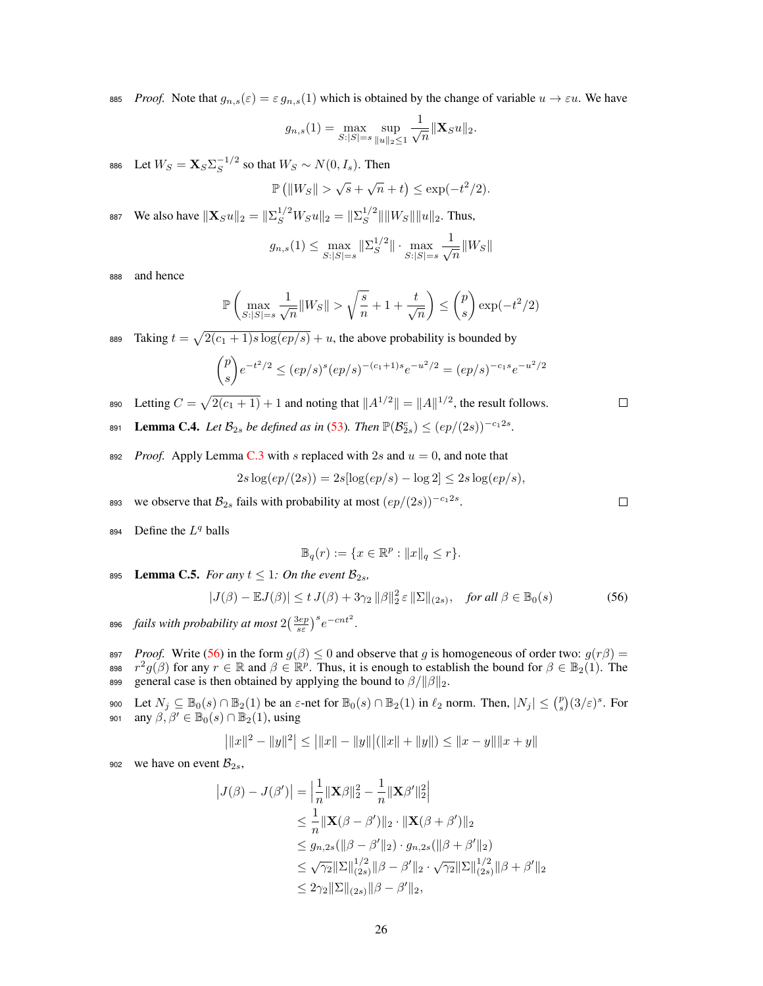885 *Proof.* Note that  $g_{n,s}(\varepsilon) = \varepsilon g_{n,s}(1)$  which is obtained by the change of variable  $u \to \varepsilon u$ . We have

$$
g_{n,s}(1) = \max_{S:|S|=s} \sup_{\|u\|_2 \le 1} \frac{1}{\sqrt{n}} \|\mathbf{X}_S u\|_2.
$$

886 Let  $W_S = \mathbf{X}_S \Sigma_S^{-1/2}$  so that  $W_S \sim N(0, I_s)$ . Then

$$
\mathbb{P}\left(\|W_S\| > \sqrt{s} + \sqrt{n} + t\right) \le \exp(-t^2/2).
$$

887 We also have  $\|\mathbf{X}_S u\|_2 = \|\Sigma_S^{1/2} W_S u\|_2 = \|\Sigma_S^{1/2}\| \|W_S\| \|u\|_2$ . Thus,

$$
g_{n,s}(1) \le \max_{S:|S|=s} \|\Sigma_S^{1/2}\| \cdot \max_{S:|S|=s} \frac{1}{\sqrt{n}} \|W_S\|
$$

<sup>888</sup> and hence

$$
\mathbb{P}\left(\max_{S:|S|=s}\frac{1}{\sqrt{n}}\|W_S\| > \sqrt{\frac{s}{n}} + 1 + \frac{t}{\sqrt{n}}\right) \le \binom{p}{s} \exp(-t^2/2)
$$

Figure  $t = \sqrt{2(c_1 + 1)s \log(ep/s)} + u$ , the above probability is bounded by

$$
\binom{p}{s}e^{-t^2/2} \le (ep/s)^s (ep/s)^{-(c_1+1)s}e^{-u^2/2} = (ep/s)^{-c_1s}e^{-u^2/2}
$$

890 Letting  $C = \sqrt{2(c_1 + 1)} + 1$  and noting that  $||A^{1/2}|| = ||A||^{1/2}$ , the result follows.

**2**81 **Lemma C.4.** *Let*  $\mathcal{B}_{2s}$  *be defined as in* (53)*. Then*  $\mathbb{P}(\mathcal{B}_{2s}^c) \leq (ep/(2s))^{-c_1 2s}$ .

892 *Proof.* Apply Lemma C.3 with *s* replaced with 2*s* and  $u = 0$ , and note that

$$
2s\log(ep/(2s)) = 2s[\log(ep/s) - \log 2] \leq 2s\log(ep/s),
$$

- we observe that  $\mathcal{B}_{2s}$  fails with probability at most  $(ep/(2s))^{-c_1 2s}$ .
- 894 Define the  $L^q$  balls

$$
\mathbb{B}_q(r) := \{ x \in \mathbb{R}^p : ||x||_q \le r \}.
$$

895 Lemma C.5. *For any*  $t \leq 1$ *: On the event*  $\mathcal{B}_{2s}$ *,* 

$$
|J(\beta) - \mathbb{E}J(\beta)| \le t J(\beta) + 3\gamma_2 \|\beta\|_2^2 \varepsilon \|\Sigma\|_{(2s)}, \quad \text{for all } \beta \in \mathbb{B}_0(s)
$$
 (56)

- 896 *fails with probability at most*  $2\left(\frac{3ep}{s\varepsilon}\right)^s e^{-cn t^2}$ .
- 897 *Proof.* Write (56) in the form  $g(\beta) \le 0$  and observe that *g* is homogeneous of order two:  $g(r\beta) =$ <br>898  $r^2g(\beta)$  for any  $r \in \mathbb{R}$  and  $\beta \in \mathbb{R}^p$ . Thus, it is enough to establish the bound for  $\beta \in \mathbb{R}_2(1)$ *r*<sup>2</sup>*g*( $\beta$ ) for any  $r \in \mathbb{R}$  and  $\beta \in \mathbb{R}^p$ . Thus, it is enough to establish the bound for  $\beta \in \mathbb{B}_2(1)$ . The general case is then obtained by applying the bound to  $\beta / \|\beta\|_2$ . general case is then obtained by applying the bound to  $\beta/\|\beta\|_2$ .
- $\text{Det } N_j \subseteq \mathbb{B}_0(s) \cap \mathbb{B}_2(1)$  be an  $\varepsilon$ -net for  $\mathbb{B}_0(s) \cap \mathbb{B}_2(1)$  in  $\ell_2$  norm. Then,  $|N_j| \leq {p \choose s} (3/\varepsilon)^s$ . For  $\lim_{s \to 0} \mathfrak{g}_1 \mathfrak{g}_2(s) \cap \mathbb{B}_2(1)$ , using

$$
|||x||^2 - ||y||^2| \le |||x|| - ||y||| (||x|| + ||y||) \le ||x - y|| ||x + y||
$$

902 we have on event  $B_{2s}$ ,

$$
|J(\beta) - J(\beta')| = \left| \frac{1}{n} \|\mathbf{X}\beta\|_2^2 - \frac{1}{n} \|\mathbf{X}\beta'\|_2^2 \right|
$$
  
\n
$$
\leq \frac{1}{n} \|\mathbf{X}(\beta - \beta')\|_2 \cdot \|\mathbf{X}(\beta + \beta')\|_2
$$
  
\n
$$
\leq g_{n,2s}(\|\beta - \beta'\|_2) \cdot g_{n,2s}(\|\beta + \beta'\|_2)
$$
  
\n
$$
\leq \sqrt{\gamma_2} \|\Sigma\|_{(2s)}^{1/2} \|\beta - \beta'\|_2 \cdot \sqrt{\gamma_2} \|\Sigma\|_{(2s)}^{1/2} \|\beta + \beta'\|_2
$$
  
\n
$$
\leq 2\gamma_2 \|\Sigma\|_{(2s)} \|\beta - \beta'\|_2,
$$

 $\Box$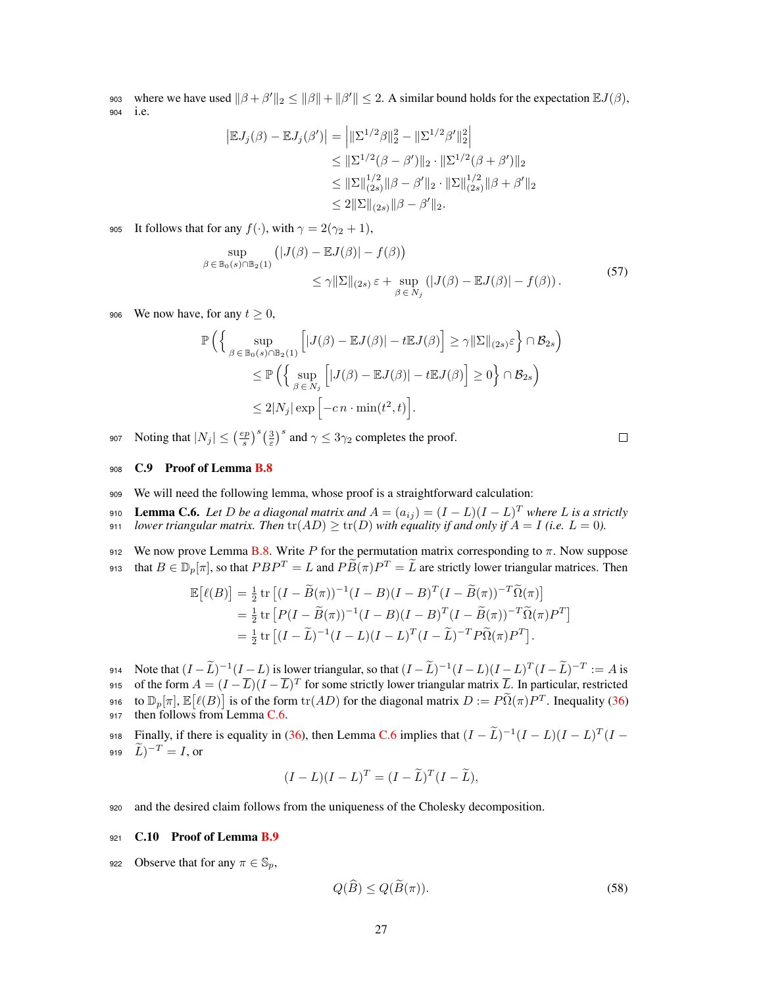903 where we have used  $\|\beta + \beta'\|_2 \le \|\beta\| + \|\beta'\| \le 2$ . A similar bound holds for the expectation  $\mathbb{E}J(\beta)$ , <sup>904</sup> i.e.

$$
|\mathbb{E}J_j(\beta) - \mathbb{E}J_j(\beta')| = \left| \|\Sigma^{1/2}\beta\|_2^2 - \|\Sigma^{1/2}\beta'\|_2^2 \right|
$$
  
\n
$$
\leq \|\Sigma^{1/2}(\beta - \beta')\|_2 \cdot \|\Sigma^{1/2}(\beta + \beta')\|_2
$$
  
\n
$$
\leq \|\Sigma\|_{(2s)}^{1/2} \|\beta - \beta'\|_2 \cdot \|\Sigma\|_{(2s)}^{1/2} \|\beta + \beta'\|_2
$$
  
\n
$$
\leq 2\|\Sigma\|_{(2s)} \|\beta - \beta'\|_2.
$$

905 It follows that for any  $f(\cdot)$ , with  $\gamma = 2(\gamma_2 + 1)$ ,

$$
\sup_{\beta \in \mathbb{B}_{0}(s) \cap \mathbb{B}_{2}(1)} \left( |J(\beta) - \mathbb{E}J(\beta)| - f(\beta) \right) \leq \gamma \|\Sigma\|_{(2s)} \varepsilon + \sup_{\beta \in N_{j}} \left( |J(\beta) - \mathbb{E}J(\beta)| - f(\beta) \right). \tag{57}
$$

906 We now have, for any  $t \geq 0$ ,

$$
\mathbb{P}\left(\left\{\sup_{\beta \in \mathbb{B}_0(s) \cap \mathbb{B}_2(1)} \left[|J(\beta) - \mathbb{E}J(\beta)| - t\mathbb{E}J(\beta)\right] \ge \gamma \|\Sigma\|_{(2s)} \varepsilon \right\} \cap \mathcal{B}_{2s}\right)
$$
  

$$
\le \mathbb{P}\left(\left\{\sup_{\beta \in N_j} \left[|J(\beta) - \mathbb{E}J(\beta)| - t\mathbb{E}J(\beta)\right] \ge 0\right\} \cap \mathcal{B}_{2s}\right)
$$
  

$$
\le 2|N_j| \exp\left[-cn \cdot \min(t^2, t)\right].
$$

907 Noting that  $|N_j| \leq \left(\frac{ep}{s}\right)^s \left(\frac{3}{\varepsilon}\right)^s$  and  $\gamma \leq 3\gamma_2$  completes the proof.

$$
\qquad \qquad \Box
$$

# 908 C.9 Proof of Lemma B.8

- <sup>909</sup> We will need the following lemma, whose proof is a straightforward calculation:
- 910 **Lemma C.6.** Let D be a diagonal matrix and  $A = (a_{ij}) = (I L)(I L)^T$  where L is a strictly 911 *lower triangular matrix. Then*  $\text{tr}(AD) \geq \text{tr}(D)$  *with equality if and only if*  $A = I$  (*i.e.*  $L = 0$ ).

912 We now prove Lemma B.8. Write  $P$  for the permutation matrix corresponding to  $\pi$ . Now suppose  $\lim_{n \to \infty} \frac{d}{dx}$  that  $B \in \mathbb{D}_p[\pi]$ , so that  $PBP^T = L$  and  $P\widetilde{B}(\pi)P^T = \widetilde{L}$  are strictly lower triangular matrices. Then

$$
\mathbb{E}[\ell(B)] = \frac{1}{2} \operatorname{tr} \left[ (I - \widetilde{B}(\pi))^{-1} (I - B)(I - B)^T (I - \widetilde{B}(\pi))^{-T} \widetilde{\Omega}(\pi) \right]
$$
  
=  $\frac{1}{2} \operatorname{tr} \left[ P(I - \widetilde{B}(\pi))^{-1} (I - B)(I - B)^T (I - \widetilde{B}(\pi))^{-T} \widetilde{\Omega}(\pi) P^T \right]$   
=  $\frac{1}{2} \operatorname{tr} \left[ (I - \widetilde{L})^{-1} (I - L)(I - L)^T (I - \widetilde{L})^{-T} P \widetilde{\Omega}(\pi) P^T \right].$ 

914 Note that  $(I-L)^{-1}(I-L)$  is lower triangular, so that  $(I-L)^{-1}(I-L)(I-L)^{T}(I-L)^{-T} := A$  is 915 of the form  $A = (I - \overline{L})(I - \overline{L})^T$  for some strictly lower triangular matrix  $\overline{L}$ . In particular, restricted 916 to  $\mathbb{D}_p[\pi], \mathbb{E}[\ell(B)]$  is of the form  $\text{tr}(AD)$  for the diagonal matrix  $D := P\widetilde{\Omega}(\pi)P^T$ . Inequality (36) 917 then follows from Lemma C.6.

Finally, if there is equality in (36), then Lemma C.6 implies that  $(I - \tilde{L})^{-1}(I - L)(I - L)^{T}(I - \mu) = \tilde{L}^{-1}(I - L)$  or  $(L)$ <sup>-T</sup> = *I*, or

$$
(I - L)(I - L)T = (I - \widetilde{L})T (I - \widetilde{L}),
$$

<sup>920</sup> and the desired claim follows from the uniqueness of the Cholesky decomposition.

#### 921 C.10 Proof of Lemma B.9

922 Observe that for any  $\pi \in \mathbb{S}_p$ ,

$$
Q(\widehat{B}) \le Q(\widetilde{B}(\pi)).\tag{58}
$$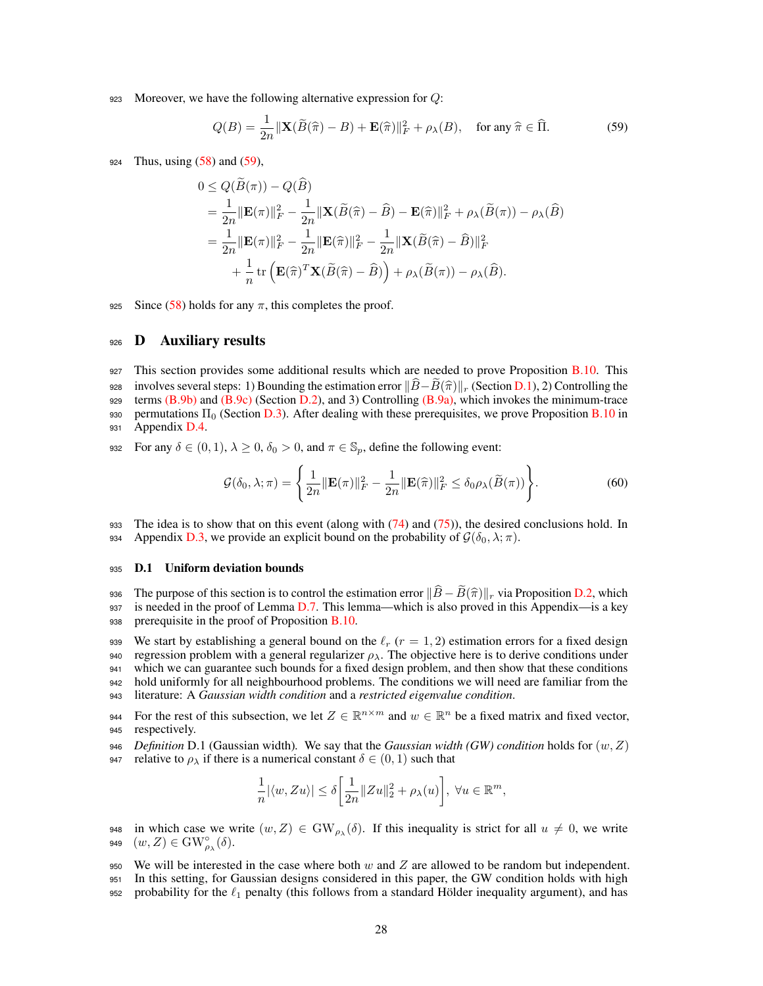<sup>923</sup> Moreover, we have the following alternative expression for *Q*:

$$
Q(B) = \frac{1}{2n} \|\mathbf{X}(\widetilde{B}(\widehat{\pi}) - B) + \mathbf{E}(\widehat{\pi})\|_{F}^{2} + \rho_{\lambda}(B), \quad \text{for any } \widehat{\pi} \in \widehat{\Pi}.
$$
 (59)

<sup>924</sup> Thus, using (58) and (59),

$$
0 \le Q(\widetilde{B}(\pi)) - Q(\widehat{B})
$$
  
=  $\frac{1}{2n} ||\mathbf{E}(\pi)||_F^2 - \frac{1}{2n} ||\mathbf{X}(\widetilde{B}(\widehat{\pi}) - \widehat{B}) - \mathbf{E}(\widehat{\pi})||_F^2 + \rho_{\lambda}(\widetilde{B}(\pi)) - \rho_{\lambda}(\widehat{B})$   
=  $\frac{1}{2n} ||\mathbf{E}(\pi)||_F^2 - \frac{1}{2n} ||\mathbf{E}(\widehat{\pi})||_F^2 - \frac{1}{2n} ||\mathbf{X}(\widetilde{B}(\widehat{\pi}) - \widehat{B})||_F^2$   
+  $\frac{1}{n} \text{tr} \left( \mathbf{E}(\widehat{\pi})^T \mathbf{X}(\widetilde{B}(\widehat{\pi}) - \widehat{B}) \right) + \rho_{\lambda}(\widetilde{B}(\pi)) - \rho_{\lambda}(\widehat{B}).$ 

925 Since (58) holds for any  $\pi$ , this completes the proof.

# 926 **D** Auxiliary results

- 927 This section provides some additional results which are needed to prove Proposition B.10. This 928 involves several steps: 1) Bounding the estimation error  $\|\hat{B} - \hat{B}(\hat{\pi})\|_r$  (Section D.1), 2) Controlling the terms (B.9b) and (B.9c) (Section D.2), and 3) Controlling (B.9a), which invokes the minimum-trace terms  $(B.9b)$  and  $(B.9c)$  (Section D.2), and 3) Controlling  $(B.9a)$ , which invokes the minimum-trace 930 permutations  $\Pi_0$  (Section D.3). After dealing with these prerequisites, we prove Proposition B.10 in 931 Appendix  $D.4$ .
- 932 For any  $\delta \in (0, 1), \lambda \ge 0, \delta_0 > 0$ , and  $\pi \in \mathbb{S}_p$ , define the following event:

$$
\mathcal{G}(\delta_0, \lambda; \pi) = \left\{ \frac{1}{2n} \|\mathbf{E}(\pi)\|_F^2 - \frac{1}{2n} \|\mathbf{E}(\hat{\pi})\|_F^2 \le \delta_0 \rho_\lambda(\widetilde{B}(\pi)) \right\}.
$$
 (60)

933 The idea is to show that on this event (along with  $(74)$  and  $(75)$ ), the desired conclusions hold. In 934 Appendix D.3, we provide an explicit bound on the probability of  $\mathcal{G}(\delta_0, \lambda; \pi)$ .

## <sup>935</sup> D.1 Uniform deviation bounds

936 The purpose of this section is to control the estimation error  $\|\hat{B} - \hat{B}(\hat{\pi})\|_{r}$  via Proposition D.2, which is needed in the proof of Lemma D.7. This lemma—which is also proved in this Appendix—is a kev is needed in the proof of Lemma D.7. This lemma—which is also proved in this Appendix—is a key 938 prerequisite in the proof of Proposition B.10.

939 We start by establishing a general bound on the  $\ell_r$  ( $r = 1, 2$ ) estimation errors for a fixed design 940 regression problem with a general regularizer  $\rho_{\lambda}$ . The objective here is to derive conditions under <sup>941</sup> which we can guarantee such bounds for a fixed design problem, and then show that these conditions <sup>942</sup> hold uniformly for all neighbourhood problems. The conditions we will need are familiar from the <sup>943</sup> literature: A *Gaussian width condition* and a *restricted eigenvalue condition*.

- For the rest of this subsection, we let  $Z \in \mathbb{R}^{n \times m}$  and  $w \in \mathbb{R}^n$  be a fixed matrix and fixed vector, respectively. respectively.
- <sup>946</sup> *Definition* D.1 (Gaussian width)*.* We say that the *Gaussian width (GW) condition* holds for (*w, Z*) 947 relative to  $\rho_{\lambda}$  if there is a numerical constant  $\delta \in (0, 1)$  such that

$$
\frac{1}{n}|\langle w,Zu\rangle|\leq \delta\bigg[\frac{1}{2n}\|Zu\|_2^2+\rho_\lambda(u)\bigg],\;\forall u\in\mathbb{R}^m,
$$

948 in which case we write  $(w, Z) \in GW_{\rho_{\lambda}}(\delta)$ . If this inequality is strict for all  $u \neq 0$ , we write  $(w, Z) \in GW_{\rho_{\lambda}}(\delta)$ . 949  $(w, Z) \in \text{GW}^\circ_{\rho_\lambda}(\delta)$ .

<sup>950</sup> We will be interested in the case where both *w* and *Z* are allowed to be random but independent.

- <sup>951</sup> In this setting, for Gaussian designs considered in this paper, the GW condition holds with high
- 952 probability for the  $\ell_1$  penalty (this follows from a standard Hölder inequality argument), and has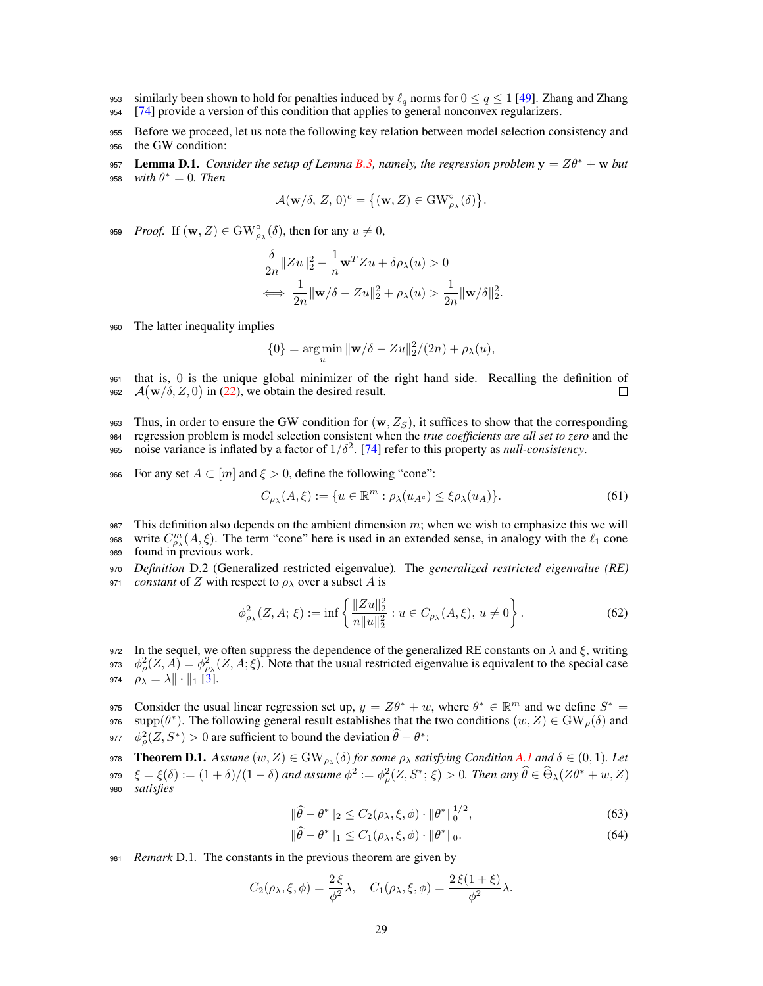- 953 similarly been shown to hold for penalties induced by  $\ell_q$  norms for  $0 \le q \le 1$  [49]. Zhang and Zhang 954 [74] provide a version of this condition that applies to general nonconvex regularizers. [74] provide a version of this condition that applies to general nonconvex regularizers.
- <sup>955</sup> Before we proceed, let us note the following key relation between model selection consistency and <sup>956</sup> the GW condition:
- **157 Lemma D.1.** *Consider the setup of Lemma B.3, namely, the regression problem*  $y = Z\theta^* + w$  *but* 958 *with*  $\theta^* = 0$ *. Then*

$$
\mathcal{A}(\mathbf{w}/\delta,\,Z,\,0)^c=\big\{(\mathbf{w},Z)\in\mathrm{GW}^\circ_{\rho_\lambda}(\delta)\big\}.
$$

959 *Proof.* If  $(\mathbf{w}, Z) \in \text{GW}^{\circ}_{\rho_{\lambda}}(\delta)$ , then for any  $u \neq 0$ ,

$$
\begin{aligned} &\frac{\delta}{2n}\|Zu\|_2^2-\frac{1}{n}\mathbf{w}^TZu+\delta\rho_\lambda(u)>0\\ &\Longleftrightarrow\ \frac{1}{2n}\|\mathbf{w}/\delta-Zu\|_2^2+\rho_\lambda(u)>\frac{1}{2n}\|\mathbf{w}/\delta\|_2^2. \end{aligned}
$$

<sup>960</sup> The latter inequality implies

$$
\{0\} = \underset{u}{\arg\min} \|\mathbf{w}/\delta - Zu\|_2^2/(2n) + \rho_\lambda(u),
$$

- <sup>961</sup> that is, 0 is the unique global minimizer of the right hand side. Recalling the definition of 962  $\mathcal{A}(\mathbf{w}/\delta, Z, 0)$  in (22), we obtain the desired result.  $\Box$
- <sup>963</sup> Thus, in order to ensure the GW condition for (w*, ZS*), it suffices to show that the corresponding <sup>964</sup> regression problem is model selection consistent when the *true coefficients are all set to zero* and the 965 noise variance is inflated by a factor of  $1/\delta^2$ . [74] refer to this property as *null-consistency*.
- 966 For any set  $A \subset [m]$  and  $\xi > 0$ , define the following "cone":

$$
C_{\rho_{\lambda}}(A,\xi) := \{ u \in \mathbb{R}^m : \rho_{\lambda}(u_{A^c}) \le \xi \rho_{\lambda}(u_A) \}.
$$
 (61)

<sup>967</sup> This definition also depends on the ambient dimension *m*; when we wish to emphasize this we will 968 write  $C_{\rho_{\lambda}}^{m}(A,\xi)$ . The term "cone" here is used in an extended sense, in analogy with the  $\ell_1$  cone <sup>969</sup> found in previous work.

<sup>970</sup> *Definition* D.2 (Generalized restricted eigenvalue)*.* The *generalized restricted eigenvalue (RE)* 971 *constant* of *Z* with respect to  $\rho_{\lambda}$  over a subset *A* is

$$
\phi_{\rho_{\lambda}}^2(Z, A; \xi) := \inf \left\{ \frac{\|Zu\|_2^2}{n \|u\|_2^2} : u \in C_{\rho_{\lambda}}(A, \xi), \ u \neq 0 \right\}.
$$
 (62)

972 In the sequel, we often suppress the dependence of the generalized RE constants on  $\lambda$  and  $\xi$ , writing <sup>973</sup>  $\phi_{\rho}^2(Z, A) = \phi_{\rho\lambda}^2(Z, A; \xi)$ . Note that the usual restricted eigenvalue is equivalent to the special case 974  $\rho_{\lambda} = \lambda \| \cdot \|_1$  [3].

Consider the usual linear regression set up,  $y = Z\theta^* + w$ , where  $\theta^* \in \mathbb{R}^m$  and we define  $S^* = \text{supp}(\theta^*)$ . The following general result establishes that the two conditions  $(w, Z) \in GW_o(\delta)$  and supp( $\theta^*$ ). The following general result establishes that the two conditions ( $w, Z$ )  $\in$  GW<sub>o</sub>( $\delta$ ) and 977  $\phi_{\rho}^2(Z, S^*) > 0$  are sufficient to bound the deviation  $\hat{\theta} - \theta^*$ :

978 **Theorem D.1.** Assume  $(w, Z) \in GW_{\rho_{\lambda}}(\delta)$  for some  $\rho_{\lambda}$  satisfying Condition A.1 and  $\delta \in (0, 1)$ . Let 979  $\xi = \xi(\delta) := (1 + \delta)/(1 - \delta)$  and assume  $\phi^2 := \phi_\rho^2(Z, S^*; \xi) > 0$ . Then any  $\hat{\theta} \in \Theta_\lambda(Z\theta^* + w, Z)$ <sup>980</sup> *satisfies*

$$
\|\hat{\theta} - \theta^*\|_2 \le C_2(\rho_\lambda, \xi, \phi) \cdot \|\theta^*\|_0^{1/2},\tag{63}
$$

$$
\|\theta - \theta^*\|_1 \le C_1(\rho_\lambda, \xi, \phi) \cdot \|\theta^*\|_0. \tag{64}
$$

<sup>981</sup> *Remark* D.1*.* The constants in the previous theorem are given by

$$
C_2(\rho_\lambda,\xi,\phi)=\frac{2\xi}{\phi^2}\lambda,\quad C_1(\rho_\lambda,\xi,\phi)=\frac{2\xi(1+\xi)}{\phi^2}\lambda.
$$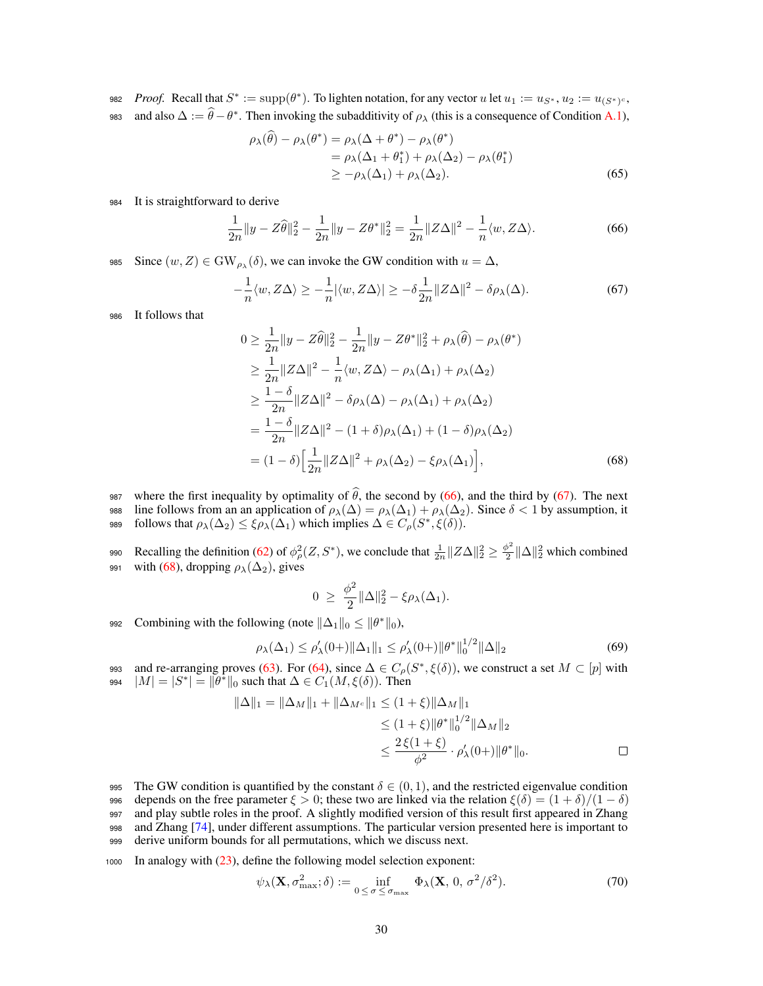*Proof.* Recall that  $S^* := \text{supp}(\theta^*)$ . To lighten notation, for any vector *u* let  $u_1 := u_{S^*}, u_2 := u_{(S^*)^c}$ , 983 and also  $\Delta := \theta - \theta^*$ . Then invoking the subadditivity of  $\rho_{\lambda}$  (this is a consequence of Condition A.1),

$$
\rho_{\lambda}(\hat{\theta}) - \rho_{\lambda}(\theta^*) = \rho_{\lambda}(\Delta + \theta^*) - \rho_{\lambda}(\theta^*)
$$
  
=  $\rho_{\lambda}(\Delta_1 + \theta_1^*) + \rho_{\lambda}(\Delta_2) - \rho_{\lambda}(\theta_1^*)$   
 $\geq -\rho_{\lambda}(\Delta_1) + \rho_{\lambda}(\Delta_2).$  (65)

## <sup>984</sup> It is straightforward to derive

$$
\frac{1}{2n}||y - Z\hat{\theta}||_2^2 - \frac{1}{2n}||y - Z\theta^*||_2^2 = \frac{1}{2n}||Z\Delta||^2 - \frac{1}{n}\langle w, Z\Delta\rangle.
$$
 (66)

Since  $(w, Z) \in GW_{\rho_{\lambda}}(\delta)$ , we can invoke the GW condition with  $u = \Delta$ ,

$$
-\frac{1}{n}\langle w, Z\Delta\rangle \ge -\frac{1}{n}|\langle w, Z\Delta\rangle| \ge -\delta \frac{1}{2n} \|Z\Delta\|^2 - \delta \rho_\lambda(\Delta). \tag{67}
$$

<sup>986</sup> It follows that

$$
0 \ge \frac{1}{2n} \|y - Z\hat{\theta}\|_2^2 - \frac{1}{2n} \|y - Z\theta^*\|_2^2 + \rho_\lambda(\hat{\theta}) - \rho_\lambda(\theta^*)
$$
  
\n
$$
\ge \frac{1}{2n} \|Z\Delta\|^2 - \frac{1}{n} \langle w, Z\Delta \rangle - \rho_\lambda(\Delta_1) + \rho_\lambda(\Delta_2)
$$
  
\n
$$
\ge \frac{1-\delta}{2n} \|Z\Delta\|^2 - \delta\rho_\lambda(\Delta) - \rho_\lambda(\Delta_1) + \rho_\lambda(\Delta_2)
$$
  
\n
$$
= \frac{1-\delta}{2n} \|Z\Delta\|^2 - (1+\delta)\rho_\lambda(\Delta_1) + (1-\delta)\rho_\lambda(\Delta_2)
$$
  
\n
$$
= (1-\delta) \Big[ \frac{1}{2n} \|Z\Delta\|^2 + \rho_\lambda(\Delta_2) - \xi\rho_\lambda(\Delta_1) \Big],
$$
 (68)

987 where the first inequality by optimality of  $\theta$ , the second by (66), and the third by (67). The next 988 line follows from an an application of  $\rho_{\lambda}(\Delta) = \rho_{\lambda}(\Delta_1) + \rho_{\lambda}(\Delta_2)$ . Since  $\delta < 1$  by assumption, it **follows that**  $\rho_{\lambda}(\Delta_2) \leq \xi \rho_{\lambda}(\Delta_1)$  which implies  $\Delta \in C_{\rho}(S^*, \xi(\delta)).$ 

990 Recalling the definition (62) of  $\phi_{\rho}^2(Z, S^*)$ , we conclude that  $\frac{1}{2n}||Z\Delta||_2^2 \ge \frac{\phi^2}{2}||\Delta||_2^2$  which combined 991 with (68), dropping  $\rho_{\lambda}(\Delta_2)$ , gives

$$
0 \geq \frac{\phi^2}{2} \|\Delta\|_2^2 - \xi \rho_\lambda(\Delta_1).
$$

992 Combining with the following (note  $\|\Delta_1\|_0 \leq \|\theta^*\|_0$ ),

$$
\rho_{\lambda}(\Delta_1) \le \rho'_{\lambda}(0+) \|\Delta_1\|_1 \le \rho'_{\lambda}(0+) \|\theta^*\|_0^{1/2} \|\Delta\|_2
$$
\n(69)

and re-arranging proves (63). For (64), since  $\Delta \in C_{\rho}(S^*, \xi(\delta))$ , we construct a set  $M \subset [p]$  with 994  $|M| = |S^*| = ||\theta^*||_0$  such that  $\Delta \in C_1(M, \xi(\delta))$ . Then

$$
\|\Delta\|_1 = \|\Delta_M\|_1 + \|\Delta_{M^c}\|_1 \le (1+\xi)\|\Delta_M\|_1
$$
  
\n
$$
\le (1+\xi)\|\theta^*\|_0^{1/2} \|\Delta_M\|_2
$$
  
\n
$$
\le \frac{2\xi(1+\xi)}{\phi^2} \cdot \rho'_\lambda(0+) \|\theta^*\|_0.
$$

995 The GW condition is quantified by the constant  $\delta \in (0, 1)$ , and the restricted eigenvalue condition depends on the free parameter  $\xi > 0$ ; these two are linked via the relation  $\xi(\delta) = (1 + \delta)/(1 - \delta)$ 996 depends on the free parameter  $\xi > 0$ ; these two are linked via the relation  $\xi(\delta) = (1 + \delta)/(1 - \delta)$ <br>997 and play subtle roles in the proof. A slightly modified version of this result first appeared in Zhang and play subtle roles in the proof. A slightly modified version of this result first appeared in Zhang <sup>998</sup> and Zhang [74], under different assumptions. The particular version presented here is important to <sup>999</sup> derive uniform bounds for all permutations, which we discuss next.

<sup>1000</sup> In analogy with (23), define the following model selection exponent:

$$
\psi_{\lambda}(\mathbf{X}, \sigma_{\max}^2; \delta) := \inf_{0 \le \sigma \le \sigma_{\max}} \Phi_{\lambda}(\mathbf{X}, 0, \sigma^2/\delta^2). \tag{70}
$$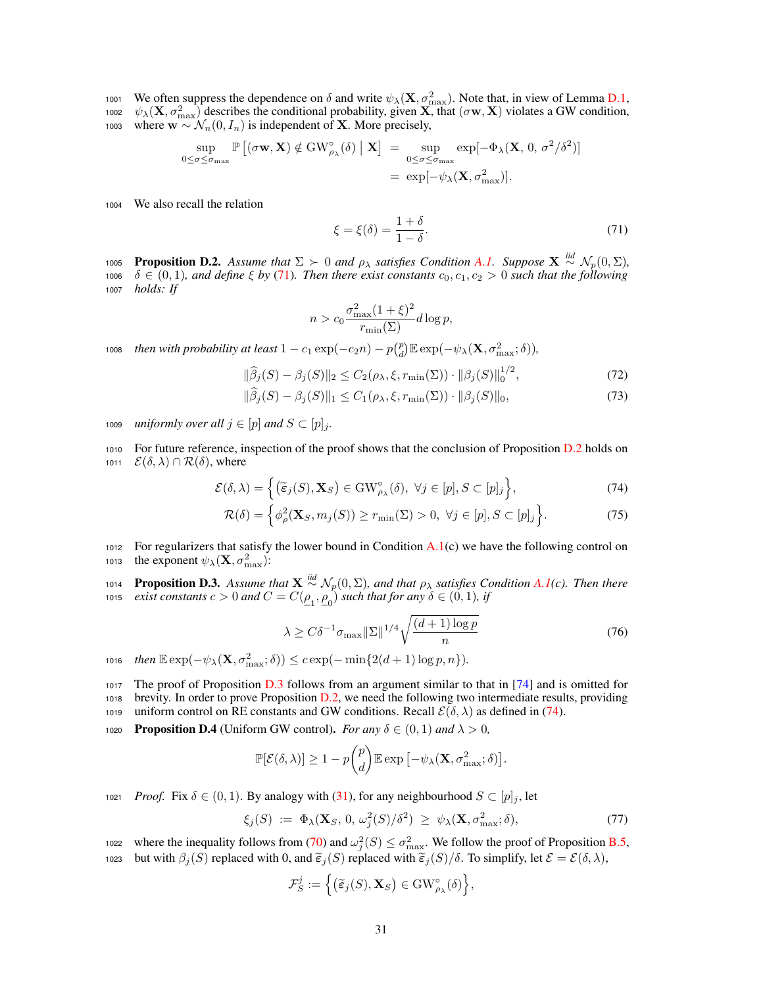1001 We often suppress the dependence on  $\delta$  and write  $\psi_{\lambda}(\mathbf{X}, \sigma_{\max}^2)$ . Note that, in view of Lemma D.1, 1002  $\psi_{\lambda}(\mathbf{X}, \sigma_{\max}^2)$  describes the conditional probability, given **X**, that  $(\sigma \mathbf{w}, \mathbf{X})$  violates a GW condition, 1003 where  $\mathbf{w} \sim \mathcal{N}_n(0, I_n)$  is independent of **X**. More precisely,

$$
\sup_{0 \le \sigma \le \sigma_{\max}} \mathbb{P}\left[ (\sigma \mathbf{w}, \mathbf{X}) \notin \mathrm{GW}_{\rho_{\lambda}}^{\circ}(\delta) \mid \mathbf{X} \right] = \sup_{0 \le \sigma \le \sigma_{\max}} \exp[-\Phi_{\lambda}(\mathbf{X}, 0, \sigma^{2}/\delta^{2})] \n= \exp[-\psi_{\lambda}(\mathbf{X}, \sigma_{\max}^{2})].
$$

<sup>1004</sup> We also recall the relation

$$
\xi = \xi(\delta) = \frac{1+\delta}{1-\delta}.\tag{71}
$$

**Proposition D.2.** Assume that  $\Sigma \succ 0$  and  $\rho_{\lambda}$  satisfies Condition A.1. Suppose  $\mathbf{X} \stackrel{iid}{\sim} \mathcal{N}_p(0, \Sigma)$ , 1006  $\delta \in (0,1)$ *, and define*  $\xi$  by (71). Then there exist constants  $c_0, c_1, c_2 > 0$  such that the following <sup>1007</sup> *holds: If*

$$
n > c_0 \frac{\sigma_{\max}^2 (1+\xi)^2}{r_{\min}(\Sigma)} d \log p,
$$

*then with probability at least*  $1 - c_1 \exp(-c_2 n) - p {p \choose d} \mathbb{E} \exp(-\psi_\lambda(\mathbf{X}, \sigma_{\max}^2; \delta)),$ 

$$
\|\widehat{\beta}_j(S) - \beta_j(S)\|_2 \le C_2(\rho_\lambda, \xi, r_{\min}(\Sigma)) \cdot \|\beta_j(S)\|_0^{1/2},\tag{72}
$$

$$
\|\beta_j(S) - \beta_j(S)\|_1 \le C_1(\rho_\lambda, \xi, r_{\min}(\Sigma)) \cdot \|\beta_j(S)\|_0,
$$
\n(73)

1009 *uniformly over all*  $j \in [p]$  *and*  $S \subset [p]_j$ .

<sup>1010</sup> For future reference, inspection of the proof shows that the conclusion of Proposition D.2 holds on 1011  $\mathcal{E}(\delta, \lambda) \cap \mathcal{R}(\delta)$ , where

$$
\mathcal{E}(\delta,\lambda) = \left\{ \left( \widetilde{\boldsymbol{\varepsilon}}_j(S), \mathbf{X}_S \right) \in \mathrm{GW}^{\circ}_{\rho_{\lambda}}(\delta), \ \forall j \in [p], S \subset [p]_j \right\},\tag{74}
$$

$$
\mathcal{R}(\delta) = \left\{ \phi_{\rho}^{2}(\mathbf{X}_{S}, m_{j}(S)) \ge r_{\min}(\Sigma) > 0, \ \forall j \in [p], S \subset [p]_{j} \right\}.
$$
 (75)

1012 For regularizers that satisfy the lower bound in Condition A.1(c) we have the following control on 1013 the exponent  $\psi_{\lambda}(\mathbf{X}, \sigma_{\max}^2)$ :

**1014 Proposition D.3.** Assume that  $X \stackrel{iid}{\sim} \mathcal{N}_p(0, \Sigma)$ , and that  $\rho_\lambda$  satisfies Condition A.1(c). Then there *exist constants*  $c > 0$  *and*  $C = C(\underline{\rho}_1, \underline{\rho}_0)$  *such that for any*  $\delta \in (0, 1)$ *, if* 

$$
\lambda \ge C\delta^{-1}\sigma_{\max} \|\Sigma\|^{1/4} \sqrt{\frac{(d+1)\log p}{n}}\tag{76}
$$

 $t$ ,016  $then \mathbb{E} \exp(-\psi_\lambda(\mathbf{X}, \sigma_{\max}^2; \delta)) \leq c \exp(-\min\{2(d+1)\log p, n\}).$ 

<sup>1017</sup> The proof of Proposition D.3 follows from an argument similar to that in [74] and is omitted for <sup>1018</sup> brevity. In order to prove Proposition D.2, we need the following two intermediate results, providing 1019 uniform control on RE constants and GW conditions. Recall  $\mathcal{E}(\delta, \lambda)$  as defined in (74).

1020 **Proposition D.4** (Uniform GW control). For any  $\delta \in (0, 1)$  and  $\lambda > 0$ ,

$$
\mathbb{P}[\mathcal{E}(\delta,\lambda)] \ge 1 - p \binom{p}{d} \mathbb{E} \exp \left[ -\psi_{\lambda}(\mathbf{X}, \sigma_{\max}^2; \delta) \right].
$$

1021 *Proof.* Fix  $\delta \in (0, 1)$ . By analogy with (31), for any neighbourhood  $S \subset [p]_i$ , let

$$
\xi_j(S) := \Phi_{\lambda}(\mathbf{X}_S, 0, \omega_j^2(S)/\delta^2) \ge \psi_{\lambda}(\mathbf{X}, \sigma_{\max}^2; \delta), \tag{77}
$$

where the inequality follows from (70) and  $\omega_j^2(S) \leq \sigma_{\text{max}}^2$ . We follow the proof of Proposition B.5, 1023 but with  $\beta_j(S)$  replaced with 0, and  $\tilde{\epsilon}_j(S)$  replaced with  $\tilde{\epsilon}_j(S)/\delta$ . To simplify, let  $\mathcal{E} = \mathcal{E}(\delta, \lambda)$ ,

$$
\mathcal{F}_S^j := \Big\{ \big(\widetilde{\boldsymbol{\varepsilon}}_j(S), \mathbf{X}_S\big) \in \mathrm{GW}_{\rho_{\lambda}}^{\circ}(\delta) \Big\},\
$$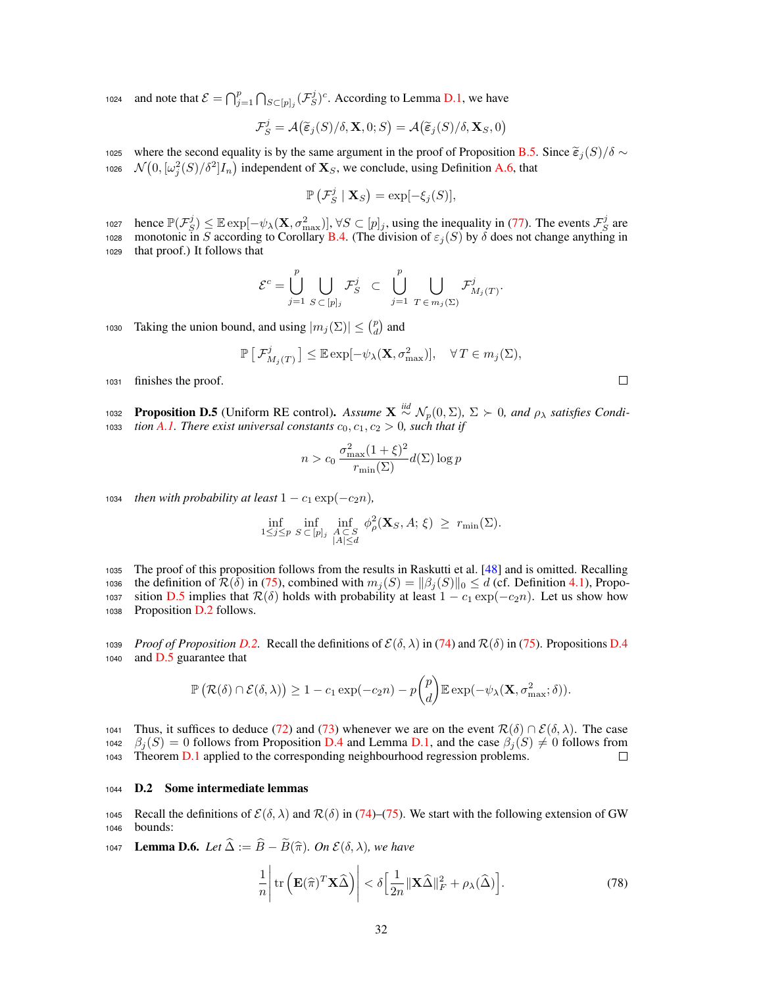1024 and note that  $\mathcal{E} = \bigcap_{j=1}^p \bigcap_{S \subset [p]_j} (\mathcal{F}_S^j)^c$ . According to Lemma D.1, we have

$$
\mathcal{F}_S^j = \mathcal{A}\big(\widetilde{\boldsymbol{\varepsilon}}_j(S)/\delta, \mathbf{X}, 0; S\big) = \mathcal{A}\big(\widetilde{\boldsymbol{\varepsilon}}_j(S)/\delta, \mathbf{X}_S, 0\big)
$$

1025 where the second equality is by the same argument in the proof of Proposition B.5. Since  $\tilde{\epsilon}_j(S)/\delta \sim N(0, [\omega^2(S)/\delta^2] I_{\infty})$  independent of **X**  $\epsilon$ , we conclude, using Definition A.6, that 1026  $\mathcal{N}(0, [\omega_j^2(S)/\delta^2]I_n)$  independent of  $\mathbf{X}_S$ , we conclude, using Definition A.6, that

$$
\mathbb{P}\left(\mathcal{F}_S^j \mid \mathbf{X}_S\right) = \exp[-\xi_j(S)],
$$

hence  $\mathbb{P}(\mathcal{F}_{S}^{j}) \leq \mathbb{E} \exp[-\psi_{\lambda}(\mathbf{X}, \sigma_{\max}^{2})], \forall S \subset [p]_{j}$ , using the inequality in (77). The events  $\mathcal{F}_{S}^{j}$  are 1028 monotonic in *S* according to Corollary B.4. (The division of  $\varepsilon_j(S)$  by  $\delta$  does not change anything in <sup>1029</sup> that proof.) It follows that

$$
\mathcal{E}^c = \bigcup_{j=1}^p \bigcup_{S \,\subset\, [p]_j} \mathcal{F}^j_S \;\; \subset \;\; \bigcup_{j=1}^p \;\; \bigcup_{T \,\in\, m_j(\Sigma)} \mathcal{F}^j_{M_j(T)}.
$$

Taking the union bound, and using  $|m_j(\Sigma)| \leq {p \choose d}$  and

$$
\mathbb{P}\left[\mathcal{F}_{M_j(T)}^j\right] \leq \mathbb{E}\exp[-\psi_\lambda(\mathbf{X}, \sigma_{\max}^2)], \quad \forall T \in m_j(\Sigma),
$$

<sup>1031</sup> finishes the proof.

**Proposition D.5** (Uniform RE control). Assume  $X \stackrel{iid}{\sim} \mathcal{N}_p(0, \Sigma)$ ,  $\Sigma \succ 0$ , and  $\rho_\lambda$  satisfies Condi-1033 *tion A.1. There exist universal constants*  $c_0, c_1, c_2 > 0$ , such that if

$$
n > c_0 \frac{\sigma_{\max}^2 (1+\xi)^2}{r_{\min}(\Sigma)} d(\Sigma) \log p
$$

1034 *then with probability at least*  $1 - c_1 \exp(-c_2 n)$ *,* 

$$
\inf_{1 \leq j \leq p} \inf_{S \subset [p]_j} \inf_{\substack{A \subset S \\ |A| \leq d}} \phi_\rho^2(\mathbf{X}_S, A; \xi) \geq r_{\min}(\Sigma).
$$

<sup>1035</sup> The proof of this proposition follows from the results in Raskutti et al. [48] and is omitted. Recalling 1036 the definition of  $\mathcal{R}(\delta)$  in (75), combined with  $m_j(S) = ||\beta_j(S)||_0 \le d$  (cf. Definition 4.1), Propo-<br>1037 sition D.5 implies that  $\mathcal{R}(\delta)$  holds with probability at least  $1 - c_1 \exp(-c_2 n)$ . Let us show how 1037 sition D.5 implies that  $\mathcal{R}(\delta)$  holds with probability at least  $1 - c_1 \exp(-c_2 n)$ . Let us show how<br>1038 Proposition D.2 follows. Proposition D.2 follows.

1039 *Proof of Proposition D.2.* Recall the definitions of  $\mathcal{E}(\delta, \lambda)$  in (74) and  $\mathcal{R}(\delta)$  in (75). Propositions D.4 and D.5 guarantee that and D.5 guarantee that

$$
\mathbb{P}\left(\mathcal{R}(\delta) \cap \mathcal{E}(\delta,\lambda)\right) \ge 1 - c_1 \exp(-c_2 n) - p {p \choose d} \mathbb{E} \exp(-\psi_\lambda(\mathbf{X}, \sigma_{\max}^2; \delta)).
$$

1041 Thus, it suffices to deduce (72) and (73) whenever we are on the event  $\mathcal{R}(\delta) \cap \mathcal{E}(\delta, \lambda)$ . The case  $\beta_{\delta}(S) = 0$  follows from Proposition D.4 and Lemma D.1, and the case  $\beta_{\delta}(S) \neq 0$  follows from 1042  $\beta_j(S) = 0$  follows from Proposition D.4 and Lemma D.1, and the case  $\beta_j(S) \neq 0$  follows from 1043 Theorem D.1 applied to the corresponding neighbourhood regression problems. Theorem D.1 applied to the corresponding neighbourhood regression problems.

## <sup>1044</sup> D.2 Some intermediate lemmas

1045 Recall the definitions of  $\mathcal{E}(\delta, \lambda)$  and  $\mathcal{R}(\delta)$  in (74)–(75). We start with the following extension of GW bounds: bounds:

1047 **Lemma D.6.** *Let*  $\widehat{\Delta} := \widehat{B} - \widetilde{B}(\widehat{\pi})$ *. On*  $\mathcal{E}(\delta, \lambda)$ *, we have* 

$$
\frac{1}{n} \left| \text{tr} \left( \mathbf{E}(\hat{\pi})^T \mathbf{X} \hat{\Delta} \right) \right| < \delta \left[ \frac{1}{2n} \| \mathbf{X} \hat{\Delta} \|_F^2 + \rho_\lambda(\hat{\Delta}) \right]. \tag{78}
$$

| I |  |  |
|---|--|--|
|   |  |  |
|   |  |  |
|   |  |  |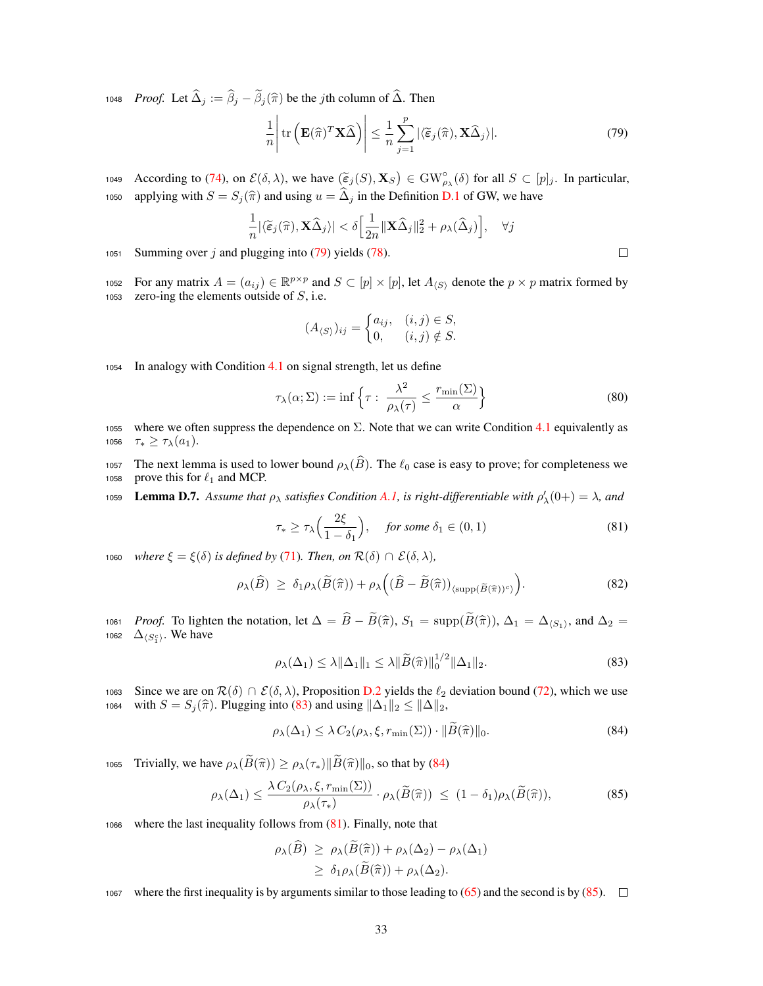1048 *Proof.* Let  $\hat{\Delta}_j := \hat{\beta}_j - \tilde{\beta}_j(\hat{\pi})$  be the *j*th column of  $\hat{\Delta}$ . Then

$$
\frac{1}{n} \left| \text{tr} \left( \mathbf{E}(\widehat{\pi})^T \mathbf{X} \widehat{\Delta} \right) \right| \leq \frac{1}{n} \sum_{j=1}^p |\langle \widetilde{\epsilon}_j(\widehat{\pi}), \mathbf{X} \widehat{\Delta}_j \rangle |.
$$
 (79)

 $\Box$ 

According to (74), on  $\mathcal{E}(\delta, \lambda)$ , we have  $(\tilde{\epsilon}_j(S), \mathbf{X}_S) \in GW_{\rho_{\lambda}}^{\circ}(\delta)$  for all  $S \subset [p]_j$ . In particular, applying with  $S = S_j(\hat{\pi})$  and using  $u = \hat{\Delta}_j$  in the Definition D.1 of GW, we have

$$
\frac{1}{n}|\langle \widetilde{\epsilon}_j(\widehat{\pi}), \mathbf{X}\widehat{\Delta}_j\rangle| < \delta \Big[\frac{1}{2n} \|\mathbf{X}\widehat{\Delta}_j\|_2^2 + \rho_{\lambda}(\widehat{\Delta}_j)\Big], \quad \forall j
$$

<sup>1051</sup> Summing over *j* and plugging into (79) yields (78).

For any matrix  $A = (a_{ij}) \in \mathbb{R}^{p \times p}$  and  $S \subset [p] \times [p]$ , let  $A_{\langle S \rangle}$  denote the  $p \times p$  matrix formed by zero-ing the elements outside of *S*, i.e. zero-ing the elements outside of  $S$ , i.e.

$$
(A_{\langle S\rangle})_{ij} = \begin{cases} a_{ij}, & (i,j) \in S, \\ 0, & (i,j) \notin S. \end{cases}
$$

<sup>1054</sup> In analogy with Condition 4.1 on signal strength, let us define

$$
\tau_{\lambda}(\alpha;\Sigma) := \inf \left\{ \tau : \frac{\lambda^2}{\rho_{\lambda}(\tau)} \le \frac{r_{\min}(\Sigma)}{\alpha} \right\}
$$
\n(80)

- 1055 where we often suppress the dependence on  $\Sigma$ . Note that we can write Condition 4.1 equivalently as 1056  $\tau_* \geq \tau_\lambda(a_1)$ .
- 1057 The next lemma is used to lower bound  $\rho_{\lambda}(\widehat{B})$ . The  $\ell_0$  case is easy to prove; for completeness we prove this for  $\ell_1$  and MCP. prove this for  $\ell_1$  and MCP.
- 1059 **Lemma D.7.** Assume that  $\rho_{\lambda}$  satisfies Condition A.1, is right-differentiable with  $\rho'_{\lambda}(0+) = \lambda$ , and

$$
\tau_* \ge \tau_\lambda \Big( \frac{2\xi}{1 - \delta_1} \Big), \quad \text{for some } \delta_1 \in (0, 1)
$$
 (81)

1060 *where*  $\xi = \xi(\delta)$  *is defined by* (71)*. Then, on*  $\mathcal{R}(\delta) \cap \mathcal{E}(\delta, \lambda)$ *,* 

$$
\rho_{\lambda}(\widehat{B}) \geq \delta_1 \rho_{\lambda}(\widetilde{B}(\widehat{\pi})) + \rho_{\lambda} \Big( (\widehat{B} - \widetilde{B}(\widehat{\pi}))_{\langle \text{supp}(\widetilde{B}(\widehat{\pi}))^c \rangle} \Big). \tag{82}
$$

*Proof.* To lighten the notation, let  $\Delta = \widehat{B} - \widetilde{B}(\widehat{\pi})$ ,  $S_1 = \text{supp}(\widetilde{B}(\widehat{\pi}))$ ,  $\Delta_1 = \Delta_{\langle S_1 \rangle}$ , and  $\Delta_2 = \Delta_{\langle S_2 \rangle}$ . We have 1062  $\Delta_{\langle S_1^c \rangle}$ . We have

$$
\rho_{\lambda}(\Delta_1) \leq \lambda \|\Delta_1\|_1 \leq \lambda \|\widetilde{B}(\widehat{\pi})\|_0^{1/2} \|\Delta_1\|_2.
$$
\n(83)

1063 Since we are on  $\mathcal{R}(\delta) \cap \mathcal{E}(\delta, \lambda)$ , Proposition D.2 yields the  $\ell_2$  deviation bound (72), which we use with  $S = S_i(\hat{\pi})$ . Plugging into (83) and using  $\|\Delta_1\|_2 \le \|\Delta\|_2$ , with  $S = S_j(\hat{\pi})$ . Plugging into (83) and using  $\|\Delta_1\|_2 \le \|\Delta\|_2$ ,

$$
\rho_{\lambda}(\Delta_1) \leq \lambda C_2(\rho_{\lambda}, \xi, r_{\min}(\Sigma)) \cdot \|\tilde{B}(\hat{\pi})\|_0.
$$
\n(84)

1065 Trivially, we have  $\rho_{\lambda}(\widetilde{B}(\widehat{\pi})) \geq \rho_{\lambda}(\tau_*) \|\widetilde{B}(\widehat{\pi})\|_0$ , so that by (84)

$$
\rho_{\lambda}(\Delta_1) \le \frac{\lambda C_2(\rho_{\lambda}, \xi, r_{\min}(\Sigma))}{\rho_{\lambda}(\tau_*)} \cdot \rho_{\lambda}(\widetilde{B}(\widehat{\pi})) \le (1 - \delta_1)\rho_{\lambda}(\widetilde{B}(\widehat{\pi})),\tag{85}
$$

<sup>1066</sup> where the last inequality follows from (81). Finally, note that

$$
\rho_{\lambda}(B) \geq \rho_{\lambda}(B(\hat{\pi})) + \rho_{\lambda}(\Delta_2) - \rho_{\lambda}(\Delta_1)
$$
  
 
$$
\geq \delta_1 \rho_{\lambda}(\widetilde{B}(\hat{\pi})) + \rho_{\lambda}(\Delta_2).
$$

1067 where the first inequality is by arguments similar to those leading to  $(65)$  and the second is by  $(85)$ .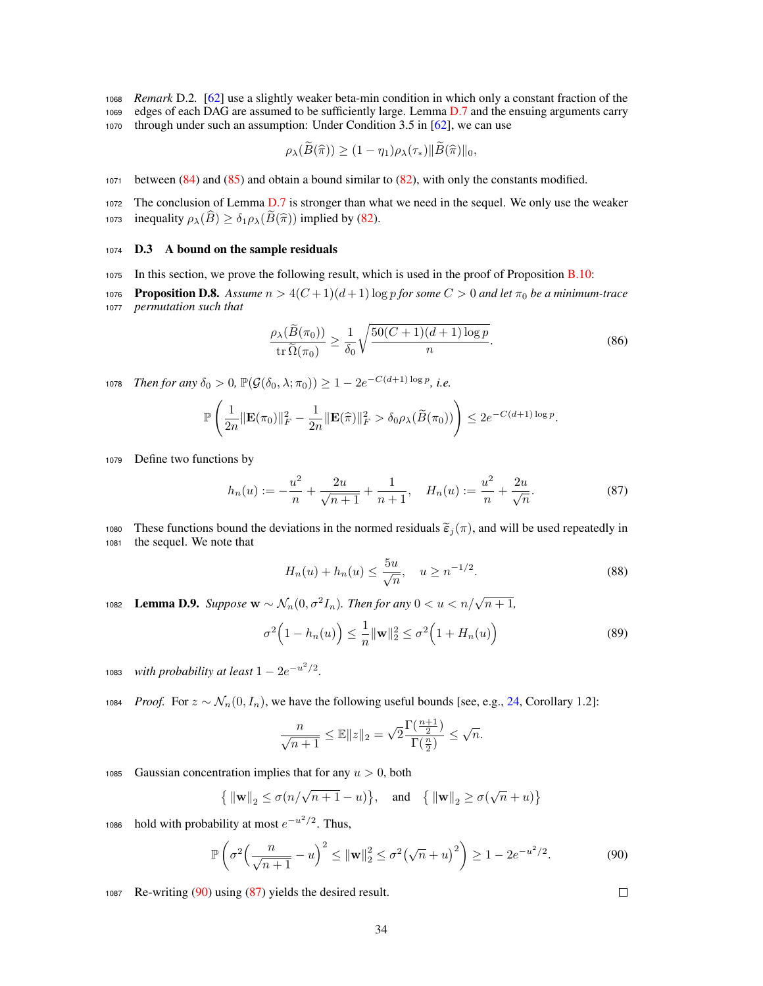<sup>1068</sup> *Remark* D.2*.* [62] use a slightly weaker beta-min condition in which only a constant fraction of the

<sup>1069</sup> edges of each DAG are assumed to be sufficiently large. Lemma D.7 and the ensuing arguments carry

<sup>1070</sup> through under such an assumption: Under Condition 3.5 in [62], we can use

$$
\rho_{\lambda}(B(\widehat{\pi})) \ge (1 - \eta_1)\rho_{\lambda}(\tau_*) \|B(\widehat{\pi})\|_0,
$$

<sup>1071</sup> between (84) and (85) and obtain a bound similar to (82), with only the constants modified.

<sup>1072</sup> The conclusion of Lemma D.7 is stronger than what we need in the sequel. We only use the weaker 1073 inequality  $\rho_{\lambda}(\widehat{B}) \geq \delta_1 \rho_{\lambda}(\widehat{B}(\widehat{\pi}))$  implied by (82).

# <sup>1074</sup> D.3 A bound on the sample residuals

<sup>1075</sup> In this section, we prove the following result, which is used in the proof of Proposition B.10:

1076 **Proposition D.8.** Assume  $n > 4(C+1)(d+1) \log p$  for some  $C > 0$  and let  $\pi_0$  be a minimum-trace <sup>1077</sup> *permutation such that*

$$
\frac{\rho_{\lambda}(\widetilde{B}(\pi_0))}{\operatorname{tr}\widetilde{\Omega}(\pi_0)} \ge \frac{1}{\delta_0} \sqrt{\frac{50(C+1)(d+1)\log p}{n}}.\tag{86}
$$

*Then for any*  $\delta_0 > 0$ ,  $\mathbb{P}(\mathcal{G}(\delta_0, \lambda; \pi_0)) \geq 1 - 2e^{-C(d+1)\log p}$ , i.e.

$$
\mathbb{P}\left(\frac{1}{2n}\|\mathbf{E}(\pi_0)\|_F^2 - \frac{1}{2n}\|\mathbf{E}(\widehat{\pi})\|_F^2 > \delta_0 \rho_\lambda(\widetilde{B}(\pi_0))\right) \leq 2e^{-C(d+1)\log p}.
$$

<sup>1079</sup> Define two functions by

$$
h_n(u) := -\frac{u^2}{n} + \frac{2u}{\sqrt{n+1}} + \frac{1}{n+1}, \quad H_n(u) := \frac{u^2}{n} + \frac{2u}{\sqrt{n}}.
$$
 (87)

1080 These functions bound the deviations in the normed residuals  $\tilde{\epsilon}_j(\pi)$ , and will be used repeatedly in the sequel. We note that the sequel. We note that

$$
H_n(u) + h_n(u) \le \frac{5u}{\sqrt{n}}, \quad u \ge n^{-1/2}.
$$
\n(88)

**1082** Lemma D.9. *Suppose*  $\mathbf{w} \sim \mathcal{N}_n(0, \sigma^2 I_n)$ *. Then for any*  $0 < u < n/\sqrt{n+1}$ *,* 

$$
\sigma^2\left(1 - h_n(u)\right) \le \frac{1}{n} \|\mathbf{w}\|_2^2 \le \sigma^2\left(1 + H_n(u)\right) \tag{89}
$$

1083 *with probability at least*  $1 - 2e^{-u^2/2}$ .

1084 *Proof.* For  $z \sim \mathcal{N}_n(0, I_n)$ , we have the following useful bounds [see, e.g., 24, Corollary 1.2]:

$$
\frac{n}{\sqrt{n+1}} \le \mathbb{E} ||z||_2 = \sqrt{2} \frac{\Gamma(\frac{n+1}{2})}{\Gamma(\frac{n}{2})} \le \sqrt{n}.
$$

1085 Gaussian concentration implies that for any  $u > 0$ , both

$$
\{ \|\mathbf{w}\|_2 \le \sigma(n/\sqrt{n+1} - u) \}, \text{ and } \{ \|\mathbf{w}\|_2 \ge \sigma(\sqrt{n} + u) \}
$$

1086 hold with probability at most  $e^{-u^2/2}$ . Thus,

$$
\mathbb{P}\left(\sigma^2 \Big(\frac{n}{\sqrt{n+1}} - u\Big)^2 \le \|\mathbf{w}\|_2^2 \le \sigma^2 \big(\sqrt{n} + u\big)^2\right) \ge 1 - 2e^{-u^2/2}.\tag{90}
$$

<sup>1087</sup> Re-writing (90) using (87) yields the desired result.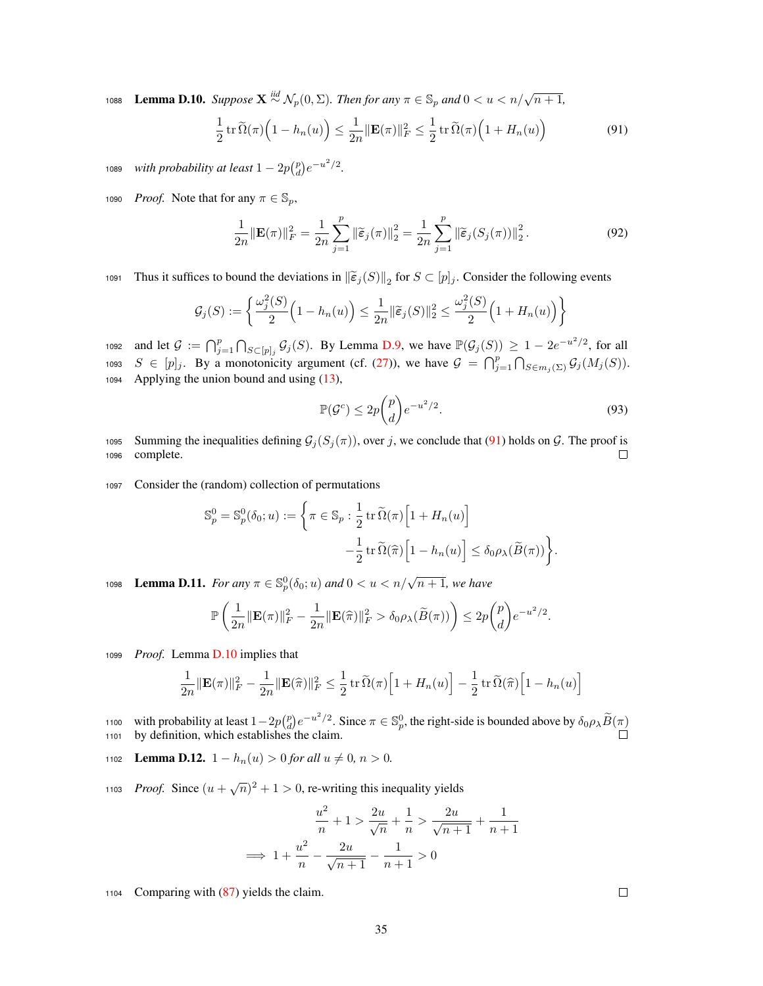1088 **Lemma D.10.** Suppose  $X \stackrel{iid}{\sim} \mathcal{N}_p(0, \Sigma)$ . Then for any  $\pi \in \mathbb{S}_p$  and  $0 < u < n/\sqrt{n+1}$ ,

$$
\frac{1}{2}\operatorname{tr}\widetilde{\Omega}(\pi)\left(1-h_n(u)\right) \le \frac{1}{2n}\|\mathbf{E}(\pi)\|_F^2 \le \frac{1}{2}\operatorname{tr}\widetilde{\Omega}(\pi)\left(1+H_n(u)\right) \tag{91}
$$

*with probability at least*  $1 - 2p\binom{p}{d}e^{-u^2/2}$ .

1090 *Proof.* Note that for any  $\pi \in \mathbb{S}_p$ ,

$$
\frac{1}{2n} \|\mathbf{E}(\pi)\|_{F}^{2} = \frac{1}{2n} \sum_{j=1}^{p} \|\widetilde{\varepsilon}_{j}(\pi)\|_{2}^{2} = \frac{1}{2n} \sum_{j=1}^{p} \|\widetilde{\varepsilon}_{j}(S_{j}(\pi))\|_{2}^{2}.
$$
 (92)

Thus it suffices to bound the deviations in  $\|\widetilde{\epsilon}_j(S)\|_2$  for  $S \subset [p]_j$ . Consider the following events

$$
\mathcal{G}_j(S) := \left\{ \frac{\omega_j^2(S)}{2} \Big( 1 - h_n(u) \Big) \le \frac{1}{2n} \|\widetilde{\varepsilon}_j(S)\|_2^2 \le \frac{\omega_j^2(S)}{2} \Big( 1 + H_n(u) \Big) \right\}
$$

1092 and let  $\mathcal{G} := \bigcap_{j=1}^p \bigcap_{S \subset [p]_j} \mathcal{G}_j(S)$ . By Lemma D.9, we have  $\mathbb{P}(\mathcal{G}_j(S)) \geq 1 - 2e^{-u^2/2}$ , for all 1093  $S \in [p]_j$ . By a monotonicity argument (cf. (27)), we have  $\mathcal{G} = \bigcap_{j=1}^p \bigcap_{S \in m_j(\Sigma)} \mathcal{G}_j(M_j(S))$ . <sup>1094</sup> Applying the union bound and using (13),

$$
\mathbb{P}(\mathcal{G}^c) \le 2p \binom{p}{d} e^{-u^2/2}.\tag{93}
$$

1095 Summing the inequalities defining  $G_j(S_j(\pi))$ , over *j*, we conclude that (91) holds on *G*. The proof is complete. complete.

<sup>1097</sup> Consider the (random) collection of permutations

$$
\begin{split} \mathbb{S}^0_p = \mathbb{S}^0_p(\delta_0; u) := \bigg\{ \pi \in \mathbb{S}_p : \frac{1}{2} \operatorname{tr} \widetilde{\Omega}(\pi) \Big[ 1 + H_n(u) \Big] \\ - \frac{1}{2} \operatorname{tr} \widetilde{\Omega}(\widehat{\pi}) \Big[ 1 - h_n(u) \Big] \leq \delta_0 \rho_{\lambda}(\widetilde{B}(\pi)) \bigg\}. \end{split}
$$

**1098** Lemma D.11. *For any*  $\pi \in \mathbb{S}_{p}^{0}(\delta_{0}; u)$  *and*  $0 < u < n/\sqrt{n+1}$ *, we have* 

$$
\mathbb{P}\left(\frac{1}{2n}\|\mathbf{E}(\pi)\|_F^2 - \frac{1}{2n}\|\mathbf{E}(\widehat{\pi})\|_F^2 > \delta_0\rho_\lambda(\widetilde{B}(\pi))\right) \leq 2p\binom{p}{d}e^{-u^2/2}.
$$

<sup>1099</sup> *Proof.* Lemma D.10 implies that

$$
\frac{1}{2n} \|\mathbf{E}(\pi)\|_F^2 - \frac{1}{2n} \|\mathbf{E}(\widehat{\pi})\|_F^2 \le \frac{1}{2} \operatorname{tr} \widetilde{\Omega}(\pi) \Big[1 + H_n(u)\Big] - \frac{1}{2} \operatorname{tr} \widetilde{\Omega}(\widehat{\pi}) \Big[1 - h_n(u)\Big]
$$

1100 with probability at least  $1-2p\binom{p}{d}e^{-u^2/2}$ . Since  $\pi \in \mathbb{S}_p^0$ , the right-side is bounded above by  $\delta_0 \rho_\lambda \widetilde{B}(\pi)$ 

1102 **Lemma D.12.**  $1 - h_n(u) > 0$  for all  $u \neq 0, n > 0$ .

*Proof.* Since  $(u + \sqrt{n})^2 + 1 > 0$ , re-writing this inequality yields

$$
\frac{u^2}{n} + 1 > \frac{2u}{\sqrt{n}} + \frac{1}{n} > \frac{2u}{\sqrt{n+1}} + \frac{1}{n+1}
$$
\n
$$
\implies 1 + \frac{u^2}{n} - \frac{2u}{\sqrt{n+1}} - \frac{1}{n+1} > 0
$$

<sup>1104</sup> Comparing with (87) yields the claim.